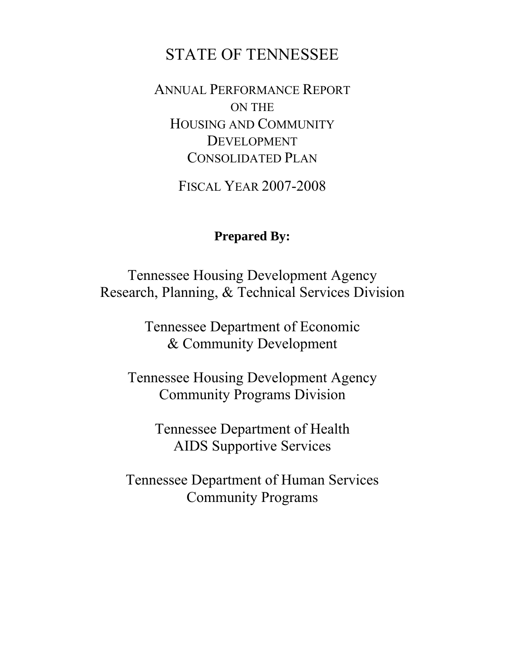# STATE OF TENNESSEE

ANNUAL PERFORMANCE REPORT ON THE HOUSING AND COMMUNITY DEVELOPMENT CONSOLIDATED PLAN

FISCAL YEAR 2007-2008

# **Prepared By:**

Tennessee Housing Development Agency Research, Planning, & Technical Services Division

> Tennessee Department of Economic & Community Development

Tennessee Housing Development Agency Community Programs Division

> Tennessee Department of Health AIDS Supportive Services

Tennessee Department of Human Services Community Programs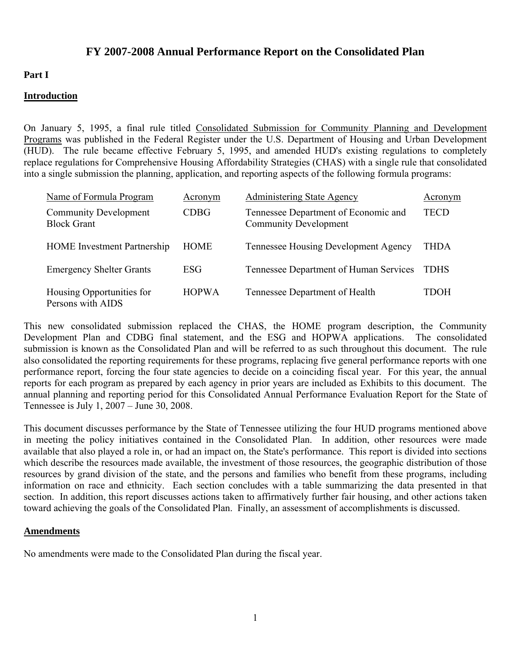# **FY 2007-2008 Annual Performance Report on the Consolidated Plan**

#### **Part I**

#### **Introduction**

On January 5, 1995, a final rule titled Consolidated Submission for Community Planning and Development Programs was published in the Federal Register under the U.S. Department of Housing and Urban Development (HUD). The rule became effective February 5, 1995, and amended HUD's existing regulations to completely replace regulations for Comprehensive Housing Affordability Strategies (CHAS) with a single rule that consolidated into a single submission the planning, application, and reporting aspects of the following formula programs:

| Name of Formula Program                            | Acronym      | <b>Administering State Agency</b>                                    | Acronym     |
|----------------------------------------------------|--------------|----------------------------------------------------------------------|-------------|
| <b>Community Development</b><br><b>Block Grant</b> | <b>CDBG</b>  | Tennessee Department of Economic and<br><b>Community Development</b> | TECD        |
| <b>HOME</b> Investment Partnership                 | HOME         | <b>Tennessee Housing Development Agency</b>                          | THDA        |
| <b>Emergency Shelter Grants</b>                    | ESG          | Tennessee Department of Human Services                               | <b>TDHS</b> |
| Housing Opportunities for<br>Persons with AIDS     | <b>HOPWA</b> | Tennessee Department of Health                                       | TDOH        |

This new consolidated submission replaced the CHAS, the HOME program description, the Community Development Plan and CDBG final statement, and the ESG and HOPWA applications. The consolidated submission is known as the Consolidated Plan and will be referred to as such throughout this document. The rule also consolidated the reporting requirements for these programs, replacing five general performance reports with one performance report, forcing the four state agencies to decide on a coinciding fiscal year. For this year, the annual reports for each program as prepared by each agency in prior years are included as Exhibits to this document. The annual planning and reporting period for this Consolidated Annual Performance Evaluation Report for the State of Tennessee is July 1, 2007 – June 30, 2008.

This document discusses performance by the State of Tennessee utilizing the four HUD programs mentioned above in meeting the policy initiatives contained in the Consolidated Plan. In addition, other resources were made available that also played a role in, or had an impact on, the State's performance. This report is divided into sections which describe the resources made available, the investment of those resources, the geographic distribution of those resources by grand division of the state, and the persons and families who benefit from these programs, including information on race and ethnicity. Each section concludes with a table summarizing the data presented in that section. In addition, this report discusses actions taken to affirmatively further fair housing, and other actions taken toward achieving the goals of the Consolidated Plan. Finally, an assessment of accomplishments is discussed.

#### **Amendments**

No amendments were made to the Consolidated Plan during the fiscal year.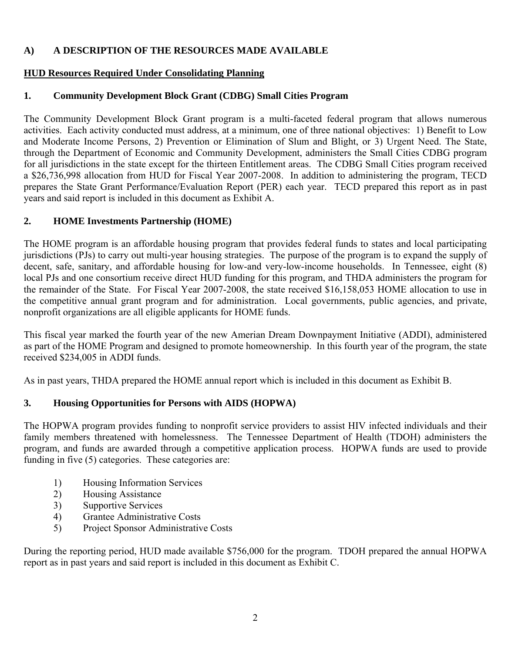# **A) A DESCRIPTION OF THE RESOURCES MADE AVAILABLE**

# **HUD Resources Required Under Consolidating Planning**

# **1. Community Development Block Grant (CDBG) Small Cities Program**

The Community Development Block Grant program is a multi-faceted federal program that allows numerous activities. Each activity conducted must address, at a minimum, one of three national objectives: 1) Benefit to Low and Moderate Income Persons, 2) Prevention or Elimination of Slum and Blight, or 3) Urgent Need. The State, through the Department of Economic and Community Development, administers the Small Cities CDBG program for all jurisdictions in the state except for the thirteen Entitlement areas. The CDBG Small Cities program received a \$26,736,998 allocation from HUD for Fiscal Year 2007-2008. In addition to administering the program, TECD prepares the State Grant Performance/Evaluation Report (PER) each year. TECD prepared this report as in past years and said report is included in this document as Exhibit A.

# **2. HOME Investments Partnership (HOME)**

The HOME program is an affordable housing program that provides federal funds to states and local participating jurisdictions (PJs) to carry out multi-year housing strategies. The purpose of the program is to expand the supply of decent, safe, sanitary, and affordable housing for low-and very-low-income households. In Tennessee, eight (8) local PJs and one consortium receive direct HUD funding for this program, and THDA administers the program for the remainder of the State. For Fiscal Year 2007-2008, the state received \$16,158,053 HOME allocation to use in the competitive annual grant program and for administration. Local governments, public agencies, and private, nonprofit organizations are all eligible applicants for HOME funds.

This fiscal year marked the fourth year of the new Amerian Dream Downpayment Initiative (ADDI), administered as part of the HOME Program and designed to promote homeownership. In this fourth year of the program, the state received \$234,005 in ADDI funds.

As in past years, THDA prepared the HOME annual report which is included in this document as Exhibit B.

# **3. Housing Opportunities for Persons with AIDS (HOPWA)**

The HOPWA program provides funding to nonprofit service providers to assist HIV infected individuals and their family members threatened with homelessness. The Tennessee Department of Health (TDOH) administers the program, and funds are awarded through a competitive application process. HOPWA funds are used to provide funding in five (5) categories. These categories are:

- 1) Housing Information Services
- 2) Housing Assistance
- 3) Supportive Services
- 4) Grantee Administrative Costs
- 5) Project Sponsor Administrative Costs

During the reporting period, HUD made available \$756,000 for the program. TDOH prepared the annual HOPWA report as in past years and said report is included in this document as Exhibit C.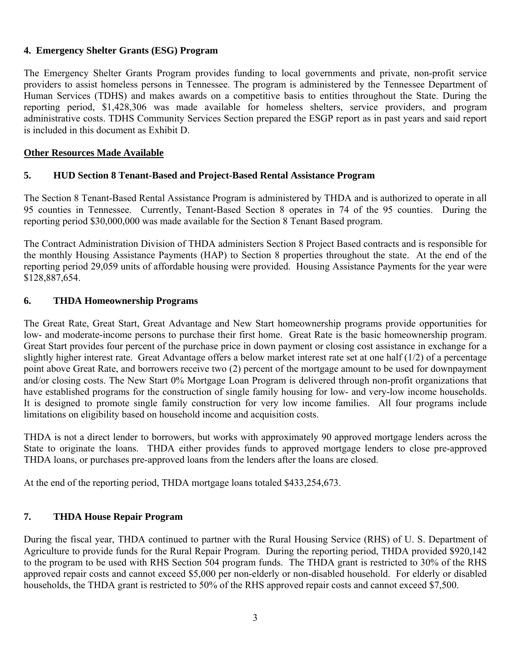#### **4. Emergency Shelter Grants (ESG) Program**

The Emergency Shelter Grants Program provides funding to local governments and private, non-profit service providers to assist homeless persons in Tennessee. The program is administered by the Tennessee Department of Human Services (TDHS) and makes awards on a competitive basis to entities throughout the State. During the reporting period, \$1,428,306 was made available for homeless shelters, service providers, and program administrative costs. TDHS Community Services Section prepared the ESGP report as in past years and said report is included in this document as Exhibit D.

#### **Other Resources Made Available**

#### **5. HUD Section 8 Tenant-Based and Project-Based Rental Assistance Program**

The Section 8 Tenant-Based Rental Assistance Program is administered by THDA and is authorized to operate in all 95 counties in Tennessee. Currently, Tenant-Based Section 8 operates in 74 of the 95 counties. During the reporting period \$30,000,000 was made available for the Section 8 Tenant Based program.

The Contract Administration Division of THDA administers Section 8 Project Based contracts and is responsible for the monthly Housing Assistance Payments (HAP) to Section 8 properties throughout the state. At the end of the reporting period 29,059 units of affordable housing were provided. Housing Assistance Payments for the year were \$128,887,654.

#### **6. THDA Homeownership Programs**

The Great Rate, Great Start, Great Advantage and New Start homeownership programs provide opportunities for low- and moderate-income persons to purchase their first home. Great Rate is the basic homeownership program. Great Start provides four percent of the purchase price in down payment or closing cost assistance in exchange for a slightly higher interest rate. Great Advantage offers a below market interest rate set at one half  $(1/2)$  of a percentage point above Great Rate, and borrowers receive two (2) percent of the mortgage amount to be used for downpayment and/or closing costs. The New Start 0% Mortgage Loan Program is delivered through non-profit organizations that have established programs for the construction of single family housing for low- and very-low income households. It is designed to promote single family construction for very low income families. All four programs include limitations on eligibility based on household income and acquisition costs.

THDA is not a direct lender to borrowers, but works with approximately 90 approved mortgage lenders across the State to originate the loans. THDA either provides funds to approved mortgage lenders to close pre-approved THDA loans, or purchases pre-approved loans from the lenders after the loans are closed.

At the end of the reporting period, THDA mortgage loans totaled \$433,254,673.

## **7. THDA House Repair Program**

During the fiscal year, THDA continued to partner with the Rural Housing Service (RHS) of U. S. Department of Agriculture to provide funds for the Rural Repair Program. During the reporting period, THDA provided \$920,142 to the program to be used with RHS Section 504 program funds. The THDA grant is restricted to 30% of the RHS approved repair costs and cannot exceed \$5,000 per non-elderly or non-disabled household. For elderly or disabled households, the THDA grant is restricted to 50% of the RHS approved repair costs and cannot exceed \$7,500.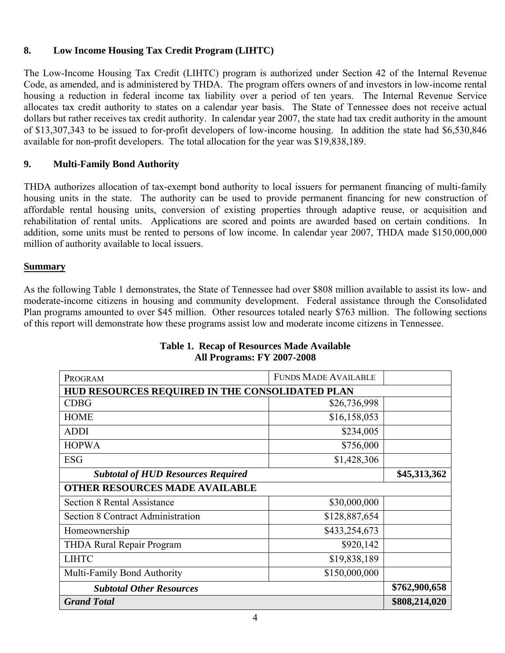# **8. Low Income Housing Tax Credit Program (LIHTC)**

The Low-Income Housing Tax Credit (LIHTC) program is authorized under Section 42 of the Internal Revenue Code, as amended, and is administered by THDA. The program offers owners of and investors in low-income rental housing a reduction in federal income tax liability over a period of ten years. The Internal Revenue Service allocates tax credit authority to states on a calendar year basis. The State of Tennessee does not receive actual dollars but rather receives tax credit authority. In calendar year 2007, the state had tax credit authority in the amount of \$13,307,343 to be issued to for-profit developers of low-income housing. In addition the state had \$6,530,846 available for non-profit developers. The total allocation for the year was \$19,838,189.

## **9. Multi-Family Bond Authority**

THDA authorizes allocation of tax-exempt bond authority to local issuers for permanent financing of multi-family housing units in the state. The authority can be used to provide permanent financing for new construction of affordable rental housing units, conversion of existing properties through adaptive reuse, or acquisition and rehabilitation of rental units. Applications are scored and points are awarded based on certain conditions. In addition, some units must be rented to persons of low income. In calendar year 2007, THDA made \$150,000,000 million of authority available to local issuers.

#### **Summary**

As the following Table 1 demonstrates, the State of Tennessee had over \$808 million available to assist its low- and moderate-income citizens in housing and community development. Federal assistance through the Consolidated Plan programs amounted to over \$45 million. Other resources totaled nearly \$763 million. The following sections of this report will demonstrate how these programs assist low and moderate income citizens in Tennessee.

| PROGRAM                                         | <b>FUNDS MADE AVAILABLE</b> |  |
|-------------------------------------------------|-----------------------------|--|
| HUD RESOURCES REQUIRED IN THE CONSOLIDATED PLAN |                             |  |
| <b>CDBG</b>                                     | \$26,736,998                |  |
| <b>HOME</b>                                     | \$16,158,053                |  |
| <b>ADDI</b>                                     | \$234,005                   |  |
| <b>HOPWA</b>                                    | \$756,000                   |  |
| <b>ESG</b>                                      | \$1,428,306                 |  |
| <b>Subtotal of HUD Resources Required</b>       | \$45,313,362                |  |
| <b>OTHER RESOURCES MADE AVAILABLE</b>           |                             |  |
| <b>Section 8 Rental Assistance</b>              | \$30,000,000                |  |
| <b>Section 8 Contract Administration</b>        | \$128,887,654               |  |
| Homeownership                                   | \$433,254,673               |  |
| THDA Rural Repair Program                       | \$920,142                   |  |
| <b>LIHTC</b>                                    | \$19,838,189                |  |
| Multi-Family Bond Authority                     | \$150,000,000               |  |
| <b>Subtotal Other Resources</b>                 | \$762,900,658               |  |
| <b>Grand Total</b>                              | \$808,214,020               |  |

# **Table 1. Recap of Resources Made Available All Programs: FY 2007-2008**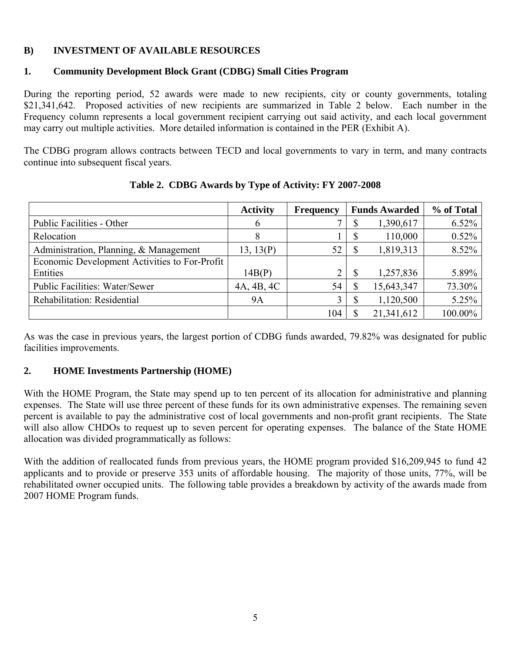# **B) INVESTMENT OF AVAILABLE RESOURCES**

#### **1. Community Development Block Grant (CDBG) Small Cities Program**

During the reporting period, 52 awards were made to new recipients, city or county governments, totaling \$21,341,642. Proposed activities of new recipients are summarized in Table 2 below. Each number in the Frequency column represents a local government recipient carrying out said activity, and each local government may carry out multiple activities. More detailed information is contained in the PER (Exhibit A).

The CDBG program allows contracts between TECD and local governments to vary in term, and many contracts continue into subsequent fiscal years.

|                                               | <b>Activity</b> | <b>Frequency</b> |    | <b>Funds Awarded</b> | % of Total |
|-----------------------------------------------|-----------------|------------------|----|----------------------|------------|
| Public Facilities - Other                     | 6               |                  | D  | 1,390,617            | $6.52\%$   |
| Relocation                                    | 8               |                  | D  | 110,000              | 0.52%      |
| Administration, Planning, & Management        | 13, 13(P)       | 52               | S  | 1,819,313            | 8.52%      |
| Economic Development Activities to For-Profit |                 |                  |    |                      |            |
| Entities                                      | 14B(P)          | $\overline{2}$   |    | 1,257,836            | 5.89%      |
| <b>Public Facilities: Water/Sewer</b>         | 4A, 4B, 4C      | 54               | \$ | 15,643,347           | 73.30%     |
| Rehabilitation: Residential                   | <b>9A</b>       |                  |    | 1,120,500            | 5.25%      |
|                                               |                 | 104              |    | 21,341,612           | 100.00%    |

**Table 2. CDBG Awards by Type of Activity: FY 2007-2008** 

As was the case in previous years, the largest portion of CDBG funds awarded, 79.82% was designated for public facilities improvements.

## **2. HOME Investments Partnership (HOME)**

With the HOME Program, the State may spend up to ten percent of its allocation for administrative and planning expenses. The State will use three percent of these funds for its own administrative expenses. The remaining seven percent is available to pay the administrative cost of local governments and non-profit grant recipients. The State will also allow CHDOs to request up to seven percent for operating expenses. The balance of the State HOME allocation was divided programmatically as follows:

With the addition of reallocated funds from previous years, the HOME program provided \$16,209,945 to fund 42 applicants and to provide or preserve 353 units of affordable housing. The majority of those units, 77%, will be rehabilitated owner occupied units. The following table provides a breakdown by activity of the awards made from 2007 HOME Program funds.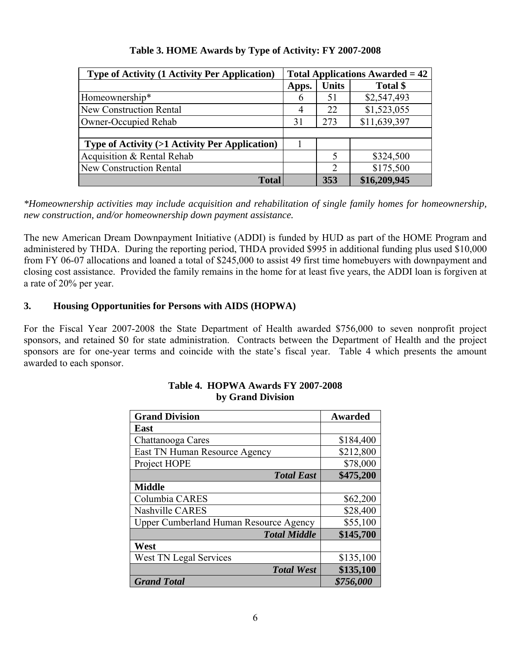| <b>Type of Activity (1 Activity Per Application)</b> | <b>Total Applications Awarded = 42</b> |              |              |
|------------------------------------------------------|----------------------------------------|--------------|--------------|
|                                                      | Apps.                                  | <b>Units</b> | Total \$     |
| Homeownership*                                       | 6                                      | 51           | \$2,547,493  |
| <b>New Construction Rental</b>                       | 4                                      | 22           | \$1,523,055  |
| Owner-Occupied Rehab                                 |                                        | 273          | \$11,639,397 |
|                                                      |                                        |              |              |
| Type of Activity (>1 Activity Per Application)       |                                        |              |              |
| Acquisition & Rental Rehab                           |                                        | 5            | \$324,500    |
| <b>New Construction Rental</b>                       |                                        | 2            | \$175,500    |
| <b>Total</b>                                         |                                        | 353          | \$16,209,945 |

# **Table 3. HOME Awards by Type of Activity: FY 2007-2008**

*\*Homeownership activities may include acquisition and rehabilitation of single family homes for homeownership, new construction, and/or homeownership down payment assistance.* 

The new American Dream Downpayment Initiative (ADDI) is funded by HUD as part of the HOME Program and administered by THDA. During the reporting period, THDA provided \$995 in additional funding plus used \$10,000 from FY 06-07 allocations and loaned a total of \$245,000 to assist 49 first time homebuyers with downpayment and closing cost assistance. Provided the family remains in the home for at least five years, the ADDI loan is forgiven at a rate of 20% per year.

# **3. Housing Opportunities for Persons with AIDS (HOPWA)**

For the Fiscal Year 2007-2008 the State Department of Health awarded \$756,000 to seven nonprofit project sponsors, and retained \$0 for state administration. Contracts between the Department of Health and the project sponsors are for one-year terms and coincide with the state's fiscal year. Table 4 which presents the amount awarded to each sponsor.

| <b>Grand Division</b>                         | <b>Awarded</b> |
|-----------------------------------------------|----------------|
| East                                          |                |
| Chattanooga Cares                             | \$184,400      |
| East TN Human Resource Agency                 | \$212,800      |
| Project HOPE                                  | \$78,000       |
| <b>Total East</b>                             | \$475,200      |
| <b>Middle</b>                                 |                |
| Columbia CARES                                | \$62,200       |
| Nashville CARES                               | \$28,400       |
| <b>Upper Cumberland Human Resource Agency</b> | \$55,100       |
| <b>Total Middle</b>                           | \$145,700      |
| West                                          |                |
| <b>West TN Legal Services</b>                 | \$135,100      |
| <b>Total West</b>                             | \$135,100      |
| <b>Grand Total</b>                            | \$756,000      |

#### **Table 4. HOPWA Awards FY 2007-2008 by Grand Division**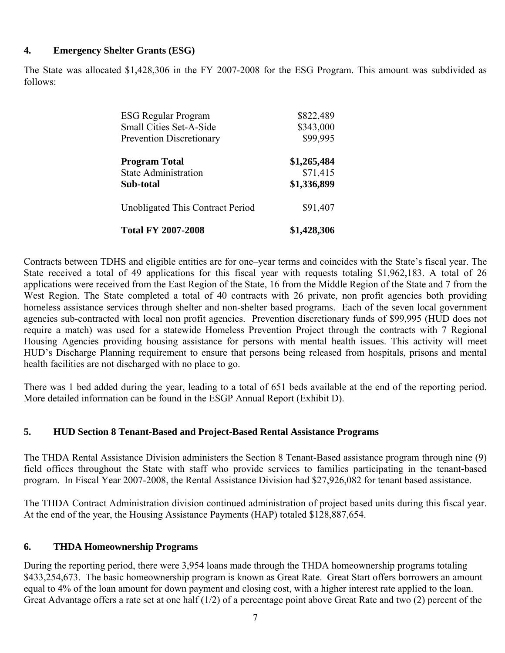#### **4. Emergency Shelter Grants (ESG)**

The State was allocated \$1,428,306 in the FY 2007-2008 for the ESG Program. This amount was subdivided as follows:

| <b>ESG Regular Program</b>       | \$822,489   |
|----------------------------------|-------------|
| <b>Small Cities Set-A-Side</b>   | \$343,000   |
| <b>Prevention Discretionary</b>  | \$99,995    |
| <b>Program Total</b>             | \$1,265,484 |
| <b>State Administration</b>      | \$71,415    |
| Sub-total                        | \$1,336,899 |
| Unobligated This Contract Period | \$91,407    |
| <b>Total FY 2007-2008</b>        | \$1,428,306 |

Contracts between TDHS and eligible entities are for one–year terms and coincides with the State's fiscal year. The State received a total of 49 applications for this fiscal year with requests totaling \$1,962,183. A total of 26 applications were received from the East Region of the State, 16 from the Middle Region of the State and 7 from the West Region. The State completed a total of 40 contracts with 26 private, non profit agencies both providing homeless assistance services through shelter and non-shelter based programs. Each of the seven local government agencies sub-contracted with local non profit agencies. Prevention discretionary funds of \$99,995 (HUD does not require a match) was used for a statewide Homeless Prevention Project through the contracts with 7 Regional Housing Agencies providing housing assistance for persons with mental health issues. This activity will meet HUD's Discharge Planning requirement to ensure that persons being released from hospitals, prisons and mental health facilities are not discharged with no place to go.

There was 1 bed added during the year, leading to a total of 651 beds available at the end of the reporting period. More detailed information can be found in the ESGP Annual Report (Exhibit D).

## **5. HUD Section 8 Tenant-Based and Project-Based Rental Assistance Programs**

The THDA Rental Assistance Division administers the Section 8 Tenant-Based assistance program through nine (9) field offices throughout the State with staff who provide services to families participating in the tenant-based program. In Fiscal Year 2007-2008, the Rental Assistance Division had \$27,926,082 for tenant based assistance.

The THDA Contract Administration division continued administration of project based units during this fiscal year. At the end of the year, the Housing Assistance Payments (HAP) totaled \$128,887,654.

## **6. THDA Homeownership Programs**

During the reporting period, there were 3,954 loans made through the THDA homeownership programs totaling \$433,254,673. The basic homeownership program is known as Great Rate. Great Start offers borrowers an amount equal to 4% of the loan amount for down payment and closing cost, with a higher interest rate applied to the loan. Great Advantage offers a rate set at one half (1/2) of a percentage point above Great Rate and two (2) percent of the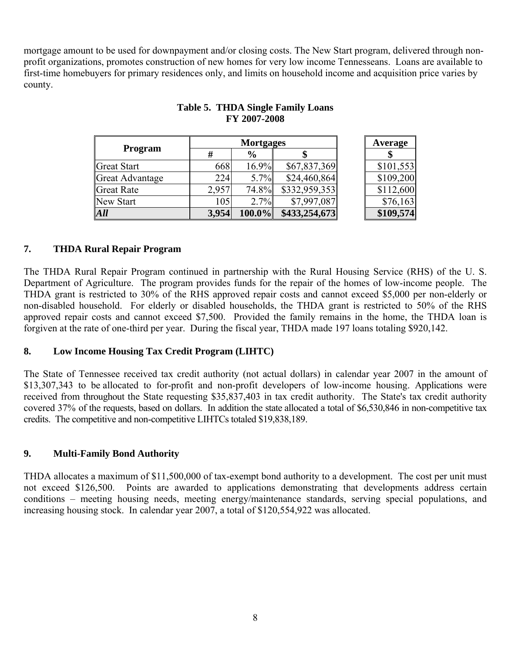mortgage amount to be used for downpayment and/or closing costs. The New Start program, delivered through nonprofit organizations, promotes construction of new homes for very low income Tennesseans. Loans are available to first-time homebuyers for primary residences only, and limits on household income and acquisition price varies by county.

|                        |       | <b>Mortgages</b> | Average       |           |
|------------------------|-------|------------------|---------------|-----------|
| <b>Program</b>         | #     | $\frac{6}{9}$    |               |           |
| Great Start            | 668   | 16.9%            | \$67,837,369  | \$101,553 |
| <b>Great Advantage</b> | 224   | 5.7%             | \$24,460,864  | \$109,200 |
| Great Rate             | 2,957 | 74.8%            | \$332,959,353 | \$112,600 |
| New Start              | 105   | 2.7%             | \$7,997,087   | \$76,163  |
| All                    | 3,954 | $100.0\%$        | \$433,254,673 | \$109,574 |

#### **Table 5. THDA Single Family Loans FY 2007-2008**

# **7. THDA Rural Repair Program**

The THDA Rural Repair Program continued in partnership with the Rural Housing Service (RHS) of the U. S. Department of Agriculture. The program provides funds for the repair of the homes of low-income people. The THDA grant is restricted to 30% of the RHS approved repair costs and cannot exceed \$5,000 per non-elderly or non-disabled household. For elderly or disabled households, the THDA grant is restricted to 50% of the RHS approved repair costs and cannot exceed \$7,500. Provided the family remains in the home, the THDA loan is forgiven at the rate of one-third per year. During the fiscal year, THDA made 197 loans totaling \$920,142.

## **8. Low Income Housing Tax Credit Program (LIHTC)**

The State of Tennessee received tax credit authority (not actual dollars) in calendar year 2007 in the amount of \$13,307,343 to be allocated to for-profit and non-profit developers of low-income housing. Applications were received from throughout the State requesting \$35,837,403 in tax credit authority. The State's tax credit authority covered 37% of the requests, based on dollars. In addition the state allocated a total of \$6,530,846 in non-competitive tax credits. The competitive and non-competitive LIHTCs totaled \$19,838,189.

## **9. Multi-Family Bond Authority**

THDA allocates a maximum of \$11,500,000 of tax-exempt bond authority to a development. The cost per unit must not exceed \$126,500. Points are awarded to applications demonstrating that developments address certain conditions – meeting housing needs, meeting energy/maintenance standards, serving special populations, and increasing housing stock. In calendar year 2007, a total of \$120,554,922 was allocated.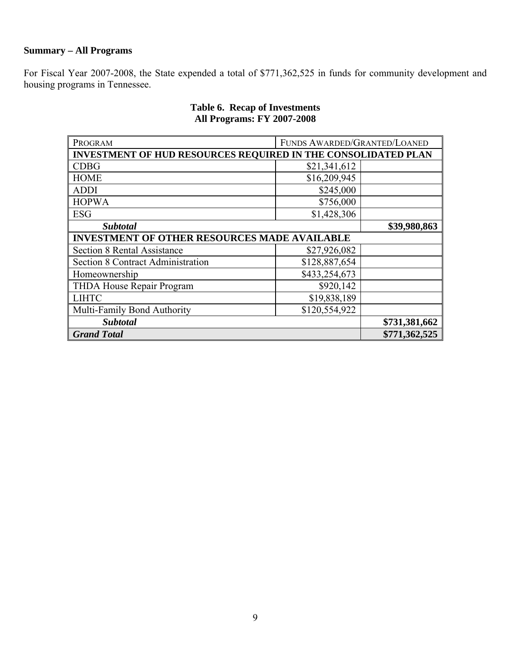# **Summary – All Programs**

For Fiscal Year 2007-2008, the State expended a total of \$771,362,525 in funds for community development and housing programs in Tennessee.

| PROGRAM                                                              | FUNDS AWARDED/GRANTED/LOANED |               |  |  |
|----------------------------------------------------------------------|------------------------------|---------------|--|--|
| <b>INVESTMENT OF HUD RESOURCES REQUIRED IN THE CONSOLIDATED PLAN</b> |                              |               |  |  |
| <b>CDBG</b>                                                          | \$21,341,612                 |               |  |  |
| <b>HOME</b>                                                          | \$16,209,945                 |               |  |  |
| <b>ADDI</b>                                                          | \$245,000                    |               |  |  |
| <b>HOPWA</b>                                                         | \$756,000                    |               |  |  |
| <b>ESG</b>                                                           | \$1,428,306                  |               |  |  |
| <b>Subtotal</b>                                                      | \$39,980,863                 |               |  |  |
| <b>INVESTMENT OF OTHER RESOURCES MADE AVAILABLE</b>                  |                              |               |  |  |
| <b>Section 8 Rental Assistance</b>                                   | \$27,926,082                 |               |  |  |
| <b>Section 8 Contract Administration</b>                             | \$128,887,654                |               |  |  |
| Homeownership                                                        | \$433,254,673                |               |  |  |
| THDA House Repair Program                                            | \$920,142                    |               |  |  |
| <b>LIHTC</b>                                                         | \$19,838,189                 |               |  |  |
| Multi-Family Bond Authority                                          | \$120,554,922                |               |  |  |
| <b>Subtotal</b>                                                      | \$731,381,662                |               |  |  |
| <b>Grand Total</b>                                                   |                              | \$771,362,525 |  |  |

# **Table 6. Recap of Investments All Programs: FY 2007-2008**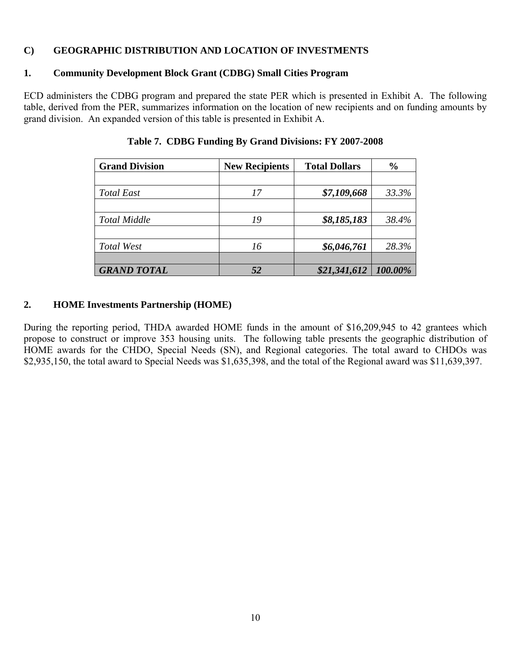#### **C) GEOGRAPHIC DISTRIBUTION AND LOCATION OF INVESTMENTS**

# **1. Community Development Block Grant (CDBG) Small Cities Program**

ECD administers the CDBG program and prepared the state PER which is presented in Exhibit A. The following table, derived from the PER, summarizes information on the location of new recipients and on funding amounts by grand division. An expanded version of this table is presented in Exhibit A.

| <b>Grand Division</b> | <b>New Recipients</b> | <b>Total Dollars</b> | $\frac{6}{9}$ |
|-----------------------|-----------------------|----------------------|---------------|
|                       |                       |                      |               |
| <b>Total East</b>     | 17                    | \$7,109,668          | 33.3%         |
|                       |                       |                      |               |
| <b>Total Middle</b>   | 19                    | \$8,185,183          | 38.4%         |
|                       |                       |                      |               |
| Total West            | 16                    | \$6,046,761          | 28.3%         |
|                       |                       |                      |               |
| <b>GRAND TOTAL</b>    |                       | \$21,341,612         | 100.00%       |

**Table 7. CDBG Funding By Grand Divisions: FY 2007-2008**

# **2. HOME Investments Partnership (HOME)**

During the reporting period, THDA awarded HOME funds in the amount of \$16,209,945 to 42 grantees which propose to construct or improve 353 housing units. The following table presents the geographic distribution of HOME awards for the CHDO, Special Needs (SN), and Regional categories. The total award to CHDOs was \$2,935,150, the total award to Special Needs was \$1,635,398, and the total of the Regional award was \$11,639,397.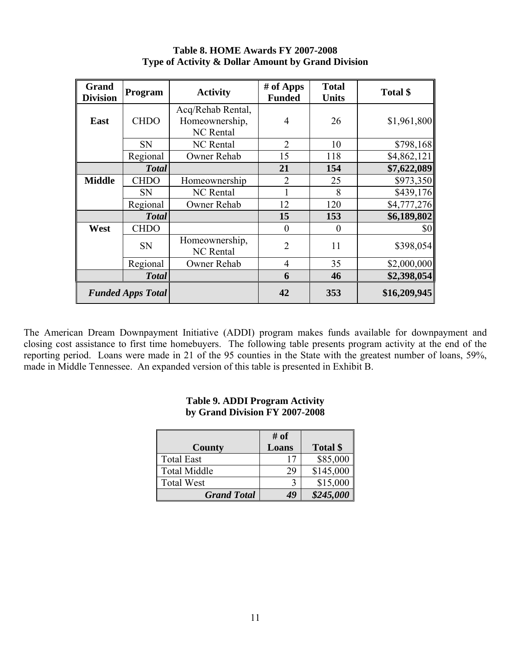| <b>Grand</b><br><b>Division</b> | Program      | <b>Activity</b>                                         | # of Apps<br><b>Funded</b> | <b>Total</b><br><b>Units</b> | Total \$     |
|---------------------------------|--------------|---------------------------------------------------------|----------------------------|------------------------------|--------------|
| East                            | <b>CHDO</b>  | Acq/Rehab Rental,<br>Homeownership,<br><b>NC</b> Rental | 4                          | 26                           | \$1,961,800  |
|                                 | <b>SN</b>    | <b>NC</b> Rental                                        | $\overline{2}$             | 10                           | \$798,168    |
|                                 | Regional     | Owner Rehab                                             | 15                         | 118                          | \$4,862,121  |
|                                 | <b>Total</b> |                                                         | 21                         | 154                          | \$7,622,089  |
| <b>Middle</b>                   | <b>CHDO</b>  | Homeownership                                           | $\overline{2}$             | 25                           | \$973,350    |
|                                 | <b>SN</b>    | <b>NC</b> Rental                                        |                            | 8                            | \$439,176    |
|                                 | Regional     | Owner Rehab                                             | 12                         | 120                          | \$4,777,276  |
|                                 | <b>Total</b> |                                                         | 15                         | 153                          | \$6,189,802  |
| West                            | <b>CHDO</b>  |                                                         | $\theta$                   | $\theta$                     | \$0          |
|                                 | <b>SN</b>    | Homeownership,<br><b>NC</b> Rental                      | $\overline{2}$             | 11                           | \$398,054    |
|                                 | Regional     | Owner Rehab                                             | 4                          | 35                           | \$2,000,000  |
|                                 | <b>Total</b> |                                                         | 6                          | 46                           | \$2,398,054  |
| <b>Funded Apps Total</b>        |              |                                                         | 42                         | 353                          | \$16,209,945 |

#### **Table 8. HOME Awards FY 2007-2008 Type of Activity & Dollar Amount by Grand Division**

The American Dream Downpayment Initiative (ADDI) program makes funds available for downpayment and closing cost assistance to first time homebuyers. The following table presents program activity at the end of the reporting period. Loans were made in 21 of the 95 counties in the State with the greatest number of loans, 59%, made in Middle Tennessee. An expanded version of this table is presented in Exhibit B.

|                     | # of  |           |
|---------------------|-------|-----------|
| <b>County</b>       | Loans | Total \$  |
| <b>Total East</b>   | Ľ     | \$85,000  |
| <b>Total Middle</b> | 29    | \$145,000 |
| <b>Total West</b>   |       | \$15,000  |
| <b>Grand Total</b>  | 49    | \$245,000 |

#### **Table 9. ADDI Program Activity by Grand Division FY 2007-2008**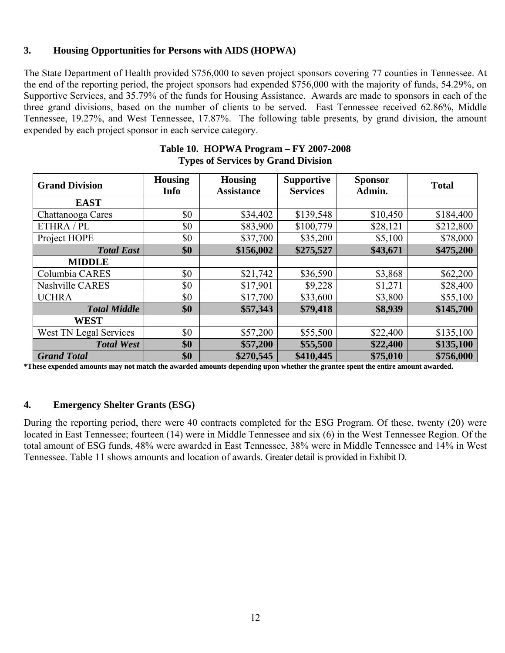# **3. Housing Opportunities for Persons with AIDS (HOPWA)**

The State Department of Health provided \$756,000 to seven project sponsors covering 77 counties in Tennessee. At the end of the reporting period, the project sponsors had expended \$756,000 with the majority of funds, 54.29%, on Supportive Services, and 35.79% of the funds for Housing Assistance. Awards are made to sponsors in each of the three grand divisions, based on the number of clients to be served. East Tennessee received 62.86%, Middle Tennessee, 19.27%, and West Tennessee, 17.87%. The following table presents, by grand division, the amount expended by each project sponsor in each service category.

| <b>Grand Division</b>  | <b>Housing</b><br><b>Info</b> | <b>Housing</b><br><b>Assistance</b> | <b>Supportive</b><br><b>Services</b> | <b>Sponsor</b><br>Admin. | <b>Total</b> |
|------------------------|-------------------------------|-------------------------------------|--------------------------------------|--------------------------|--------------|
| <b>EAST</b>            |                               |                                     |                                      |                          |              |
| Chattanooga Cares      | \$0                           | \$34,402                            | \$139,548                            | \$10,450                 | \$184,400    |
| ETHRA / PL             | \$0                           | \$83,900                            | \$100,779                            | \$28,121                 | \$212,800    |
| Project HOPE           | \$0                           | \$37,700                            | \$35,200                             | \$5,100                  | \$78,000     |
| <b>Total East</b>      | \$0                           | \$156,002                           | \$275,527                            | \$43,671                 | \$475,200    |
| <b>MIDDLE</b>          |                               |                                     |                                      |                          |              |
| Columbia CARES         | \$0                           | \$21,742                            | \$36,590                             | \$3,868                  | \$62,200     |
| Nashville CARES        | \$0                           | \$17,901                            | \$9,228                              | \$1,271                  | \$28,400     |
| <b>UCHRA</b>           | \$0                           | \$17,700                            | \$33,600                             | \$3,800                  | \$55,100     |
| <b>Total Middle</b>    | \$0                           | \$57,343                            | \$79,418                             | \$8,939                  | \$145,700    |
| <b>WEST</b>            |                               |                                     |                                      |                          |              |
| West TN Legal Services | \$0                           | \$57,200                            | \$55,500                             | \$22,400                 | \$135,100    |
| <b>Total West</b>      | \$0                           | \$57,200                            | \$55,500                             | \$22,400                 | \$135,100    |
| <b>Grand Total</b>     | \$0                           | \$270,545                           | \$410,445                            | \$75,010                 | \$756,000    |

#### **Table 10. HOPWA Program – FY 2007-2008 Types of Services by Grand Division**

**\*These expended amounts may not match the awarded amounts depending upon whether the grantee spent the entire amount awarded.** 

#### **4. Emergency Shelter Grants (ESG)**

During the reporting period, there were 40 contracts completed for the ESG Program. Of these, twenty (20) were located in East Tennessee; fourteen (14) were in Middle Tennessee and six (6) in the West Tennessee Region. Of the total amount of ESG funds, 48% were awarded in East Tennessee, 38% were in Middle Tennessee and 14% in West Tennessee. Table 11 shows amounts and location of awards. Greater detail is provided in Exhibit D.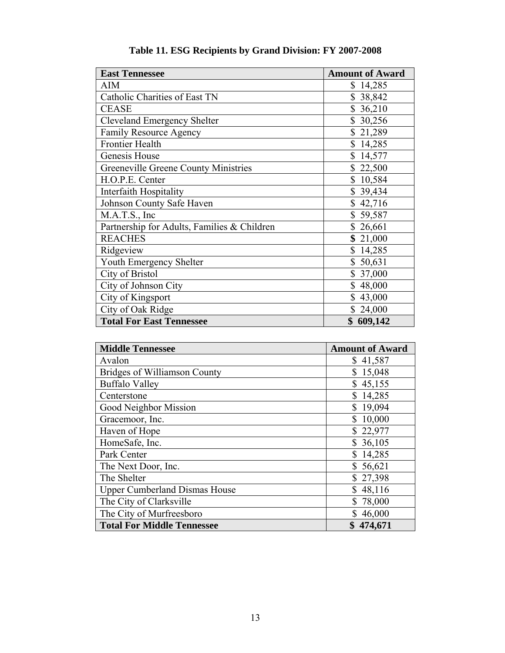| <b>East Tennessee</b>                       | <b>Amount of Award</b> |
|---------------------------------------------|------------------------|
| <b>AIM</b>                                  | \$14,285               |
| Catholic Charities of East TN               | \$38,842               |
| <b>CEASE</b>                                | \$36,210               |
| Cleveland Emergency Shelter                 | \$30,256               |
| <b>Family Resource Agency</b>               | \$21,289               |
| <b>Frontier Health</b>                      | \$14,285               |
| Genesis House                               | \$14,577               |
| Greeneville Greene County Ministries        | \$22,500               |
| H.O.P.E. Center                             | \$10,584               |
| <b>Interfaith Hospitality</b>               | \$39,434               |
| <b>Johnson County Safe Haven</b>            | \$42,716               |
| M.A.T.S., Inc                               | \$59,587               |
| Partnership for Adults, Families & Children | \$26,661               |
| <b>REACHES</b>                              | \$21,000               |
| Ridgeview                                   | \$14,285               |
| Youth Emergency Shelter                     | \$50,631               |
| City of Bristol                             | \$37,000               |
| City of Johnson City                        | \$48,000               |
| City of Kingsport                           | \$43,000               |
| City of Oak Ridge                           | \$24,000               |
| <b>Total For East Tennessee</b>             | \$609,142              |

**Table 11. ESG Recipients by Grand Division: FY 2007-2008** 

| <b>Middle Tennessee</b>              | <b>Amount of Award</b> |
|--------------------------------------|------------------------|
| Avalon                               | \$41,587               |
| Bridges of Williamson County         | 15,048<br>\$           |
| <b>Buffalo Valley</b>                | 45,155<br>\$           |
| Centerstone                          | 14,285                 |
| Good Neighbor Mission                | \$<br>19,094           |
| Gracemoor, Inc.                      | 10,000<br>\$           |
| Haven of Hope                        | \$22,977               |
| HomeSafe, Inc.                       | 36,105<br>\$           |
| Park Center                          | \$14,285               |
| The Next Door, Inc.                  | \$56,621               |
| The Shelter                          | \$27,398               |
| <b>Upper Cumberland Dismas House</b> | 48,116                 |
| The City of Clarksville              | \$<br>78,000           |
| The City of Murfreesboro             | 46,000                 |
| <b>Total For Middle Tennessee</b>    | \$474,671              |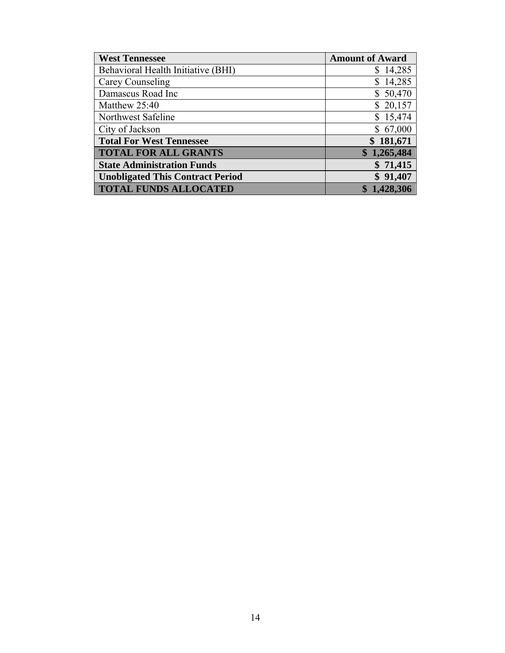| <b>West Tennessee</b>                   | <b>Amount of Award</b> |
|-----------------------------------------|------------------------|
| Behavioral Health Initiative (BHI)      | \$14,285               |
| Carey Counseling                        | \$14,285               |
| Damascus Road Inc                       | \$50,470               |
| Matthew 25:40                           | \$20,157               |
| Northwest Safeline                      | \$15,474               |
| City of Jackson                         | \$67,000               |
| <b>Total For West Tennessee</b>         | \$181,671              |
| <b>TOTAL FOR ALL GRANTS</b>             | \$1,265,484            |
| <b>State Administration Funds</b>       | \$71,415               |
| <b>Unobligated This Contract Period</b> | \$91,407               |
| <b>TOTAL FUNDS ALLOCATED</b>            | 1,428,306              |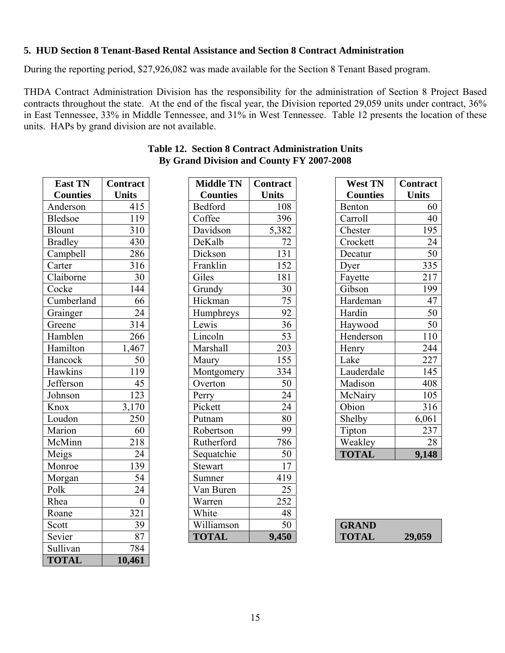## **5. HUD Section 8 Tenant-Based Rental Assistance and Section 8 Contract Administration**

During the reporting period, \$27,926,082 was made available for the Section 8 Tenant Based program.

THDA Contract Administration Division has the responsibility for the administration of Section 8 Project Based contracts throughout the state. At the end of the fiscal year, the Division reported 29,059 units under contract, 36% in East Tennessee, 33% in Middle Tennessee, and 31% in West Tennessee. Table 12 presents the location of these units. HAPs by grand division are not available.

| <b>East TN</b>  | <b>Contract</b>  | <b>Middle TN</b> | Contract         |
|-----------------|------------------|------------------|------------------|
| <b>Counties</b> | <b>Units</b>     | <b>Counties</b>  | <b>Units</b>     |
| Anderson        | 415              | Bedford          | 108              |
| <b>Bledsoe</b>  | 119              | Coffee           | 396              |
| <b>Blount</b>   | 310              | Davidson         | 5,382            |
| <b>Bradley</b>  | 430              | DeKalb           | 72               |
| Campbell        | 286              | Dickson          | 131              |
| Carter          | 316              | Franklin         | 152              |
| Claiborne       | 30               | Giles            | 181              |
| Cocke           | 144              | Grundy           | $\overline{30}$  |
| Cumberland      | 66               | Hickman          | $\overline{75}$  |
| Grainger        | 24               | Humphreys        | 92               |
| Greene          | 314              | Lewis            | $\overline{36}$  |
| Hamblen         | 266              | Lincoln          | $\overline{53}$  |
| Hamilton        | 1,467            | Marshall         | 203              |
| Hancock         | 50               | Maury            | 155              |
| Hawkins         | 119              | Montgomery       | 334              |
| Jefferson       | 45               | Overton          | 50               |
| Johnson         | 123              | Perry            | 24               |
| Knox            | 3,170            | Pickett          | 24               |
| Loudon          | 250              | Putnam           | 80               |
| Marion          | 60               | Robertson        | 99               |
| McMinn          | 218              | Rutherford       | 786              |
| Meigs           | $\overline{24}$  | Sequatchie       | 50               |
| Monroe          | 139              | Stewart          | 17               |
| Morgan          | 54               | Sumner           | 419              |
| Polk            | 24               | Van Buren        | $\overline{25}$  |
| Rhea            | $\boldsymbol{0}$ | Warren           | $\overline{252}$ |
| Roane           | $\overline{321}$ | White            | 48               |
| Scott           | 39               | Williamson       | $\overline{50}$  |
| Sevier          | 87               | <b>TOTAL</b>     | 9,450            |
| Sullivan        | 784              |                  |                  |
| <b>TOTAL</b>    | 10,461           |                  |                  |

| <b>Table 12. Section 8 Contract Administration Units</b> |  |
|----------------------------------------------------------|--|
| By Grand Division and County FY 2007-2008                |  |

| <b>East TN</b>  | <b>Contract</b>  | <b>Middle TN</b> | Contract        | <b>West TN</b>  | <b>Contract</b> |
|-----------------|------------------|------------------|-----------------|-----------------|-----------------|
| <b>Counties</b> | <b>Units</b>     | <b>Counties</b>  | <b>Units</b>    | <b>Counties</b> | <b>Units</b>    |
| Anderson        | 415              | Bedford          | 108             | Benton          | 60              |
| <b>Bledsoe</b>  | 119              | Coffee           | 396             | Carroll         | 40              |
| Blount          | 310              | Davidson         | 5,382           | Chester         | 195             |
| <b>Bradley</b>  | 430              | DeKalb           | 72              | Crockett        | 24              |
| Campbell        | 286              | Dickson          | 131             | Decatur         | 50              |
| Carter          | 316              | Franklin         | 152             | Dyer            | 335             |
| Claiborne       | 30               | Giles            | 181             | Fayette         | 217             |
| Cocke           | 144              | Grundy           | 30              | Gibson          | 199             |
| Cumberland      | 66               | Hickman          | 75              | Hardeman        | 47              |
| Grainger        | 24               | Humphreys        | 92              | Hardin          | 50              |
| Greene          | 314              | Lewis            | 36              | Haywood         | 50              |
| Hamblen         | 266              | Lincoln          | $\overline{53}$ | Henderson       | 110             |
| Hamilton        | 1,467            | Marshall         | 203             | Henry           | 244             |
| Hancock         | 50               | Maury            | 155             | Lake            | 227             |
| Hawkins         | 119              | Montgomery       | 334             | Lauderdale      | 145             |
| Jefferson       | 45               | Overton          | 50              | Madison         | 408             |
| Johnson         | 123              | Perry            | $\overline{24}$ | McNairy         | 105             |
| Knox            | 3,170            | Pickett          | $\overline{24}$ | Obion           | 316             |
| Loudon          | 250              | Putnam           | 80              | Shelby          | 6,061           |
| Marion          | 60               | Robertson        | 99              | Tipton          | 237             |
| McMinn          | 218              | Rutherford       | 786             | Weakley         | 28              |
| Meigs           | 24               | Sequatchie       | 50              | <b>TOTAL</b>    | 9,148           |
| Monroe          | 139              | <b>Stewart</b>   | 17              |                 |                 |
| Morgan          | 54               | Sumner           | 419             |                 |                 |
| Polk            | 24               | Van Buren        | 25              |                 |                 |
| Rhea            | $\boldsymbol{0}$ | Warren           | 252             |                 |                 |
| Roane           | 321              | White            | 48              |                 |                 |
| Scott           | 39               | Williamson       | 50              | <b>GRAND</b>    |                 |
| Sevier          | 87               | <b>TOTAL</b>     | 9,450           | <b>TOTAL</b>    | 29,059          |
| $\alpha$ 11.    | $\overline{501}$ |                  |                 |                 |                 |

| <b>West TN</b>  | <b>Contract</b> |
|-----------------|-----------------|
| <b>Counties</b> | <b>Units</b>    |
| Benton          | 60              |
| Carroll         | 40              |
| Chester         | 195             |
| Crockett        | 24              |
| Decatur         | 50              |
| Dyer            | 335             |
| Fayette         | 217             |
| Gibson          | 199             |
| Hardeman        | 47              |
| Hardin          | 50              |
| Haywood         | 50              |
| Henderson       | 110             |
| Henry           | 244             |
| Lake            | 227             |
| Lauderdale      | 145             |
| Madison         | 408             |
| McNairy         | 105             |
| Obion           | 316             |
| Shelby          | 6,061           |
| Tipton          | 237             |
| Weakley         | 28              |
| <b>TOTAL</b>    | 9,148           |

| <b>GRAND</b> |        |
|--------------|--------|
| <b>TOTAL</b> | 29,059 |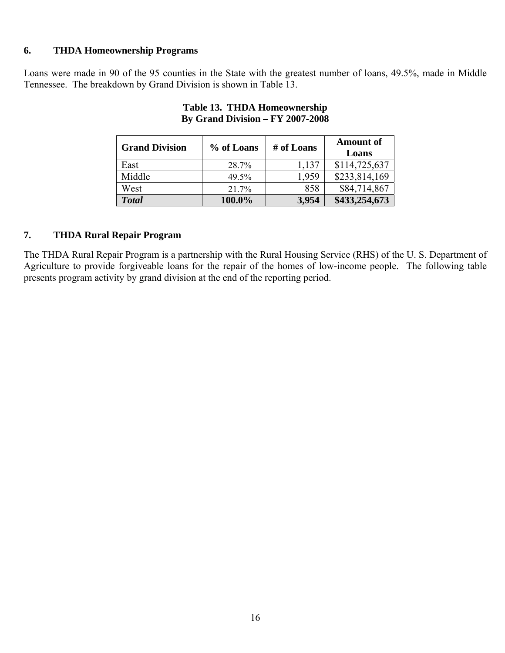#### **6. THDA Homeownership Programs**

Loans were made in 90 of the 95 counties in the State with the greatest number of loans, 49.5%, made in Middle Tennessee. The breakdown by Grand Division is shown in Table 13.

| <b>Grand Division</b> | % of Loans | # of Loans | <b>Amount of</b><br>Loans |
|-----------------------|------------|------------|---------------------------|
| East                  | 28.7%      | 1,137      | \$114,725,637             |
| Middle                | 49.5%      | 1,959      | \$233,814,169             |
| West                  | 21.7%      | 858        | \$84,714,867              |
| <b>Total</b>          | 100.0%     | 3,954      | \$433,254,673             |

#### **Table 13. THDA Homeownership By Grand Division – FY 2007-2008**

## **7. THDA Rural Repair Program**

The THDA Rural Repair Program is a partnership with the Rural Housing Service (RHS) of the U. S. Department of Agriculture to provide forgiveable loans for the repair of the homes of low-income people. The following table presents program activity by grand division at the end of the reporting period.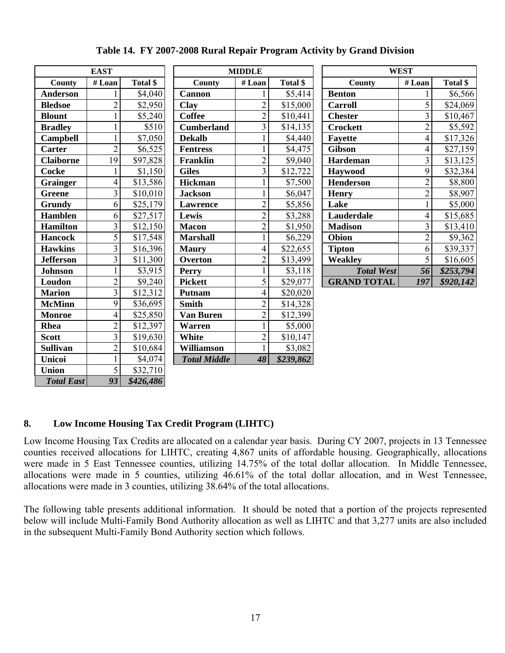|                   | <b>EAST</b>    |           |                     | <b>MIDDLE</b>  |           |                    | <b>WEST</b>             |           |
|-------------------|----------------|-----------|---------------------|----------------|-----------|--------------------|-------------------------|-----------|
| County            | #Loan          | Total \$  | County              | #Loan          | Total \$  | County             | #Loan                   | Total \$  |
| <b>Anderson</b>   |                | \$4,040   | <b>Cannon</b>       |                | \$5,414   | <b>Benton</b>      |                         | \$6,566   |
| <b>Bledsoe</b>    | $\overline{2}$ | \$2,950   | <b>Clay</b>         | $\overline{2}$ | \$15,000  | <b>Carroll</b>     | 5                       | \$24,069  |
| <b>Blount</b>     |                | \$5,240   | <b>Coffee</b>       | $\overline{2}$ | \$10,441  | <b>Chester</b>     | $\overline{\mathbf{3}}$ | \$10,467  |
| <b>Bradley</b>    |                | \$510     | <b>Cumberland</b>   | $\overline{3}$ | \$14,135  | <b>Crockett</b>    | $\overline{2}$          | \$5,592   |
| <b>Campbell</b>   |                | \$7,050   | <b>Dekalb</b>       |                | \$4,440   | Fayette            | 4                       | \$17,326  |
| <b>Carter</b>     | $\overline{2}$ | \$6,525   | <b>Fentress</b>     | 1              | \$4,475   | <b>Gibson</b>      | 4                       | \$27,159  |
| <b>Claiborne</b>  | 19             | \$97,828  | Franklin            | $\overline{2}$ | \$9,040   | <b>Hardeman</b>    | $\overline{3}$          | \$13,125  |
| <b>Cocke</b>      |                | \$1,150   | <b>Giles</b>        | 3              | \$12,722  | Haywood            | 9                       | \$32,384  |
| <b>Grainger</b>   | $\overline{4}$ | \$13,586  | <b>Hickman</b>      |                | \$7,500   | Henderson          | $\overline{c}$          | \$8,800   |
| <b>Greene</b>     | $\overline{3}$ | \$10,010  | <b>Jackson</b>      |                | \$6,047   | <b>Henry</b>       | $\overline{c}$          | \$8,907   |
| Grundy            | 6              | \$25,179  | <b>Lawrence</b>     | $\overline{2}$ | \$5,856   | Lake               | $\mathbf{1}$            | \$5,000   |
| <b>Hamblen</b>    | 6              | \$27,517  | Lewis               | $\overline{2}$ | \$3,288   | Lauderdale         | $\overline{4}$          | \$15,685  |
| <b>Hamilton</b>   | $\overline{3}$ | \$12,150  | <b>Macon</b>        | $\overline{2}$ | \$1,950   | <b>Madison</b>     | $\overline{\mathbf{3}}$ | \$13,410  |
| <b>Hancock</b>    | $\overline{5}$ | \$17,548  | <b>Marshall</b>     |                | \$6,229   | Obion              | $\overline{2}$          | \$9,362   |
| <b>Hawkins</b>    | $\overline{3}$ | \$16,396  | <b>Maury</b>        | 4              | \$22,655  | <b>Tipton</b>      | 6                       | \$39,337  |
| <b>Jefferson</b>  | $\overline{3}$ | \$11,300  | Overton             | $\overline{2}$ | \$13,499  | Weakley            | 5                       | \$16,605  |
| <b>Johnson</b>    | $\mathbf{1}$   | \$3,915   | <b>Perry</b>        |                | \$3,118   | <b>Total West</b>  | 56                      | \$253,794 |
| Loudon            | $\overline{2}$ | \$9,240   | <b>Pickett</b>      | 5              | \$29,077  | <b>GRAND TOTAL</b> | 197                     | \$920,142 |
| <b>Marion</b>     | $\overline{3}$ | \$12,312  | <b>Putnam</b>       | 4              | \$20,020  |                    |                         |           |
| <b>McMinn</b>     | 9              | \$36,695  | <b>Smith</b>        | $\overline{2}$ | \$14,328  |                    |                         |           |
| <b>Monroe</b>     | $\overline{4}$ | \$25,850  | <b>Van Buren</b>    | $\overline{2}$ | \$12,399  |                    |                         |           |
| Rhea              | $\overline{2}$ | \$12,397  | <b>Warren</b>       |                | \$5,000   |                    |                         |           |
| <b>Scott</b>      | $\overline{3}$ | \$19,630  | <b>White</b>        | $\overline{c}$ | \$10,147  |                    |                         |           |
| <b>Sullivan</b>   | $\overline{2}$ | \$10,684  | Williamson          |                | \$3,082   |                    |                         |           |
| <b>Unicoi</b>     |                | \$4,074   | <b>Total Middle</b> | 48             | \$239,862 |                    |                         |           |
| <b>Union</b>      | $\overline{5}$ | \$32,710  |                     |                |           |                    |                         |           |
| <b>Total East</b> | 93             | \$426,486 |                     |                |           |                    |                         |           |

**Table 14. FY 2007-2008 Rural Repair Program Activity by Grand Division** 

# **8. Low Income Housing Tax Credit Program (LIHTC)**

Low Income Housing Tax Credits are allocated on a calendar year basis. During CY 2007, projects in 13 Tennessee counties received allocations for LIHTC, creating 4,867 units of affordable housing. Geographically, allocations were made in 5 East Tennessee counties, utilizing 14.75% of the total dollar allocation. In Middle Tennessee, allocations were made in 5 counties, utilizing 46.61% of the total dollar allocation, and in West Tennessee, allocations were made in 3 counties, utilizing 38.64% of the total allocations.

The following table presents additional information. It should be noted that a portion of the projects represented below will include Multi-Family Bond Authority allocation as well as LIHTC and that 3,277 units are also included in the subsequent Multi-Family Bond Authority section which follows.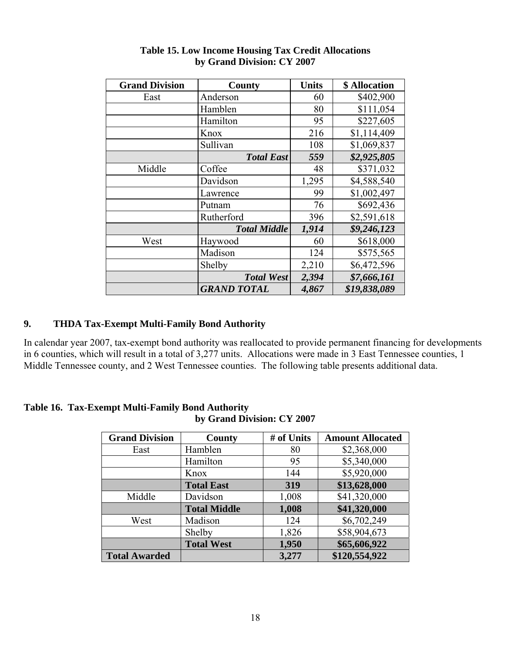| <b>Grand Division</b> | County              | <b>Units</b> | \$ Allocation |
|-----------------------|---------------------|--------------|---------------|
| East                  | Anderson            | 60           | \$402,900     |
|                       | Hamblen             | 80           | \$111,054     |
|                       | Hamilton            | 95           | \$227,605     |
|                       | Knox                | 216          | \$1,114,409   |
|                       | Sullivan            | 108          | \$1,069,837   |
|                       | <b>Total East</b>   | 559          | \$2,925,805   |
| Middle                | Coffee              | 48           | \$371,032     |
|                       | Davidson            | 1,295        | \$4,588,540   |
|                       | Lawrence            | 99           | \$1,002,497   |
|                       | Putnam              | 76           | \$692,436     |
|                       | Rutherford          | 396          | \$2,591,618   |
|                       | <b>Total Middle</b> | 1,914        | \$9,246,123   |
| West                  | Haywood             | 60           | \$618,000     |
|                       | Madison             | 124          | \$575,565     |
|                       | Shelby              | 2,210        | \$6,472,596   |
|                       | <b>Total West</b>   | 2,394        | \$7,666,161   |
|                       | <b>GRAND TOTAL</b>  | 4,867        | \$19,838,089  |

#### **Table 15. Low Income Housing Tax Credit Allocations by Grand Division: CY 2007**

# **9. THDA Tax-Exempt Multi-Family Bond Authority**

In calendar year 2007, tax-exempt bond authority was reallocated to provide permanent financing for developments in 6 counties, which will result in a total of 3,277 units. Allocations were made in 3 East Tennessee counties, 1 Middle Tennessee county, and 2 West Tennessee counties. The following table presents additional data.

#### **Table 16. Tax-Exempt Multi-Family Bond Authority by Grand Division: CY 2007**

| <b>Grand Division</b> | County              | # of Units | <b>Amount Allocated</b> |
|-----------------------|---------------------|------------|-------------------------|
| East                  | Hamblen             | 80         | \$2,368,000             |
|                       | Hamilton            | 95         | \$5,340,000             |
|                       | Knox                | 144        | \$5,920,000             |
|                       | <b>Total East</b>   | 319        | \$13,628,000            |
| Middle                | Davidson            | 1,008      | \$41,320,000            |
|                       | <b>Total Middle</b> | 1,008      | \$41,320,000            |
| West                  | Madison             | 124        | \$6,702,249             |
|                       | Shelby              | 1,826      | \$58,904,673            |
|                       | <b>Total West</b>   | 1,950      | \$65,606,922            |
| <b>Total Awarded</b>  |                     | 3,277      | \$120,554,922           |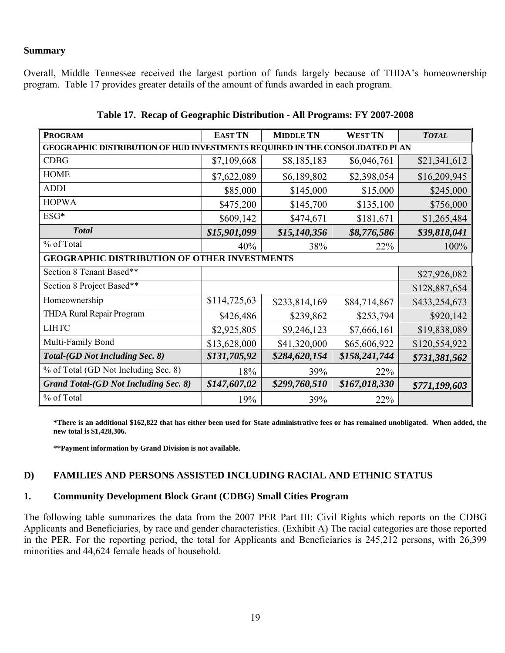#### **Summary**

Overall, Middle Tennessee received the largest portion of funds largely because of THDA's homeownership program. Table 17 provides greater details of the amount of funds awarded in each program.

| <b>PROGRAM</b>                                                               | <b>EAST TN</b> | <b>MIDDLE TN</b> | <b>WEST TN</b> | <b>TOTAL</b>  |  |  |  |  |  |
|------------------------------------------------------------------------------|----------------|------------------|----------------|---------------|--|--|--|--|--|
| GEOGRAPHIC DISTRIBUTION OF HUD INVESTMENTS REQUIRED IN THE CONSOLIDATED PLAN |                |                  |                |               |  |  |  |  |  |
| <b>CDBG</b>                                                                  | \$7,109,668    | \$8,185,183      | \$6,046,761    | \$21,341,612  |  |  |  |  |  |
| <b>HOME</b>                                                                  | \$7,622,089    | \$6,189,802      | \$2,398,054    | \$16,209,945  |  |  |  |  |  |
| <b>ADDI</b>                                                                  | \$85,000       | \$145,000        | \$15,000       | \$245,000     |  |  |  |  |  |
| <b>HOPWA</b>                                                                 | \$475,200      | \$145,700        | \$135,100      | \$756,000     |  |  |  |  |  |
| ESG*                                                                         | \$609,142      | \$474,671        | \$181,671      | \$1,265,484   |  |  |  |  |  |
| <b>Total</b>                                                                 | \$15,901,099   | \$15,140,356     | \$8,776,586    | \$39,818,041  |  |  |  |  |  |
| % of Total                                                                   | 40%            | 38%              | 22%            | 100%          |  |  |  |  |  |
| <b>GEOGRAPHIC DISTRIBUTION OF OTHER INVESTMENTS</b>                          |                |                  |                |               |  |  |  |  |  |
| Section 8 Tenant Based**                                                     |                |                  |                | \$27,926,082  |  |  |  |  |  |
| Section 8 Project Based**                                                    |                |                  |                | \$128,887,654 |  |  |  |  |  |
| Homeownership                                                                | \$114,725,63   | \$233,814,169    | \$84,714,867   | \$433,254,673 |  |  |  |  |  |
| THDA Rural Repair Program                                                    | \$426,486      | \$239,862        | \$253,794      | \$920,142     |  |  |  |  |  |
| <b>LIHTC</b>                                                                 | \$2,925,805    | \$9,246,123      | \$7,666,161    | \$19,838,089  |  |  |  |  |  |
| Multi-Family Bond                                                            | \$13,628,000   | \$41,320,000     | \$65,606,922   | \$120,554,922 |  |  |  |  |  |
| Total-(GD Not Including Sec. 8)                                              | \$131,705,92   | \$284,620,154    | \$158,241,744  | \$731,381,562 |  |  |  |  |  |
| % of Total (GD Not Including Sec. 8)                                         | 18%            | 39%              | 22%            |               |  |  |  |  |  |
| Grand Total-(GD Not Including Sec. 8)                                        | \$147,607,02   | \$299,760,510    | \$167,018,330  | \$771,199,603 |  |  |  |  |  |
| % of Total                                                                   | 19%            | 39%              | 22%            |               |  |  |  |  |  |

|  |  | Table 17. Recap of Geographic Distribution - All Programs: FY 2007-2008 |
|--|--|-------------------------------------------------------------------------|
|  |  |                                                                         |

**\*There is an additional \$162,822 that has either been used for State administrative fees or has remained unobligated. When added, the new total is \$1,428,306.** 

**\*\*Payment information by Grand Division is not available.** 

## **D) FAMILIES AND PERSONS ASSISTED INCLUDING RACIAL AND ETHNIC STATUS**

## **1. Community Development Block Grant (CDBG) Small Cities Program**

The following table summarizes the data from the 2007 PER Part III: Civil Rights which reports on the CDBG Applicants and Beneficiaries, by race and gender characteristics. (Exhibit A) The racial categories are those reported in the PER. For the reporting period, the total for Applicants and Beneficiaries is 245,212 persons, with 26,399 minorities and 44,624 female heads of household.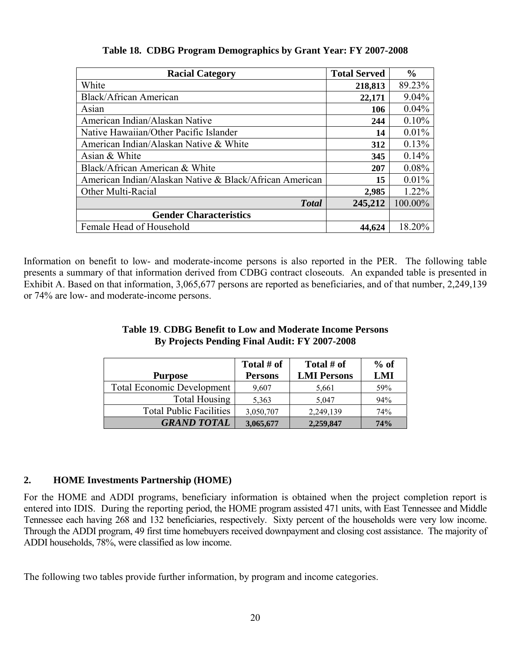| <b>Racial Category</b>                                  | <b>Total Served</b> | $\frac{6}{9}$ |
|---------------------------------------------------------|---------------------|---------------|
| White                                                   | 218,813             | 89.23%        |
| Black/African American                                  | 22,171              | 9.04%         |
| Asian                                                   | 106                 | 0.04%         |
| American Indian/Alaskan Native                          | 244                 | 0.10%         |
| Native Hawaiian/Other Pacific Islander                  | 14                  | 0.01%         |
| American Indian/Alaskan Native & White                  | 312                 | 0.13%         |
| Asian & White                                           | 345                 | 0.14%         |
| Black/African American & White                          | 207                 | 0.08%         |
| American Indian/Alaskan Native & Black/African American | 15                  | 0.01%         |
| Other Multi-Racial                                      | 2,985               | 1.22%         |
| <b>Total</b>                                            | 245,212             | 100.00%       |
| <b>Gender Characteristics</b>                           |                     |               |
| Female Head of Household                                | 44,624              | 18.20%        |

**Table 18. CDBG Program Demographics by Grant Year: FY 2007-2008** 

Information on benefit to low- and moderate-income persons is also reported in the PER. The following table presents a summary of that information derived from CDBG contract closeouts. An expanded table is presented in Exhibit A. Based on that information, 3,065,677 persons are reported as beneficiaries, and of that number, 2,249,139 or 74% are low- and moderate-income persons.

# **Table 19**. **CDBG Benefit to Low and Moderate Income Persons By Projects Pending Final Audit: FY 2007-2008**

| <b>Purpose</b>                    | Total # of<br><b>Persons</b> | Total # of<br><b>LMI Persons</b> | $%$ of<br>LMI |
|-----------------------------------|------------------------------|----------------------------------|---------------|
|                                   |                              |                                  |               |
| <b>Total Economic Development</b> | 9,607                        | 5,661                            | 59%           |
| Total Housing                     | 5,363                        | 5,047                            | 94%           |
| <b>Total Public Facilities</b>    | 3,050,707                    | 2,249,139                        | 74%           |
| <b>GRAND TOTAL</b>                | 3,065,677                    | 2,259,847                        | 74%           |

# **2. HOME Investments Partnership (HOME)**

For the HOME and ADDI programs, beneficiary information is obtained when the project completion report is entered into IDIS. During the reporting period, the HOME program assisted 471 units, with East Tennessee and Middle Tennessee each having 268 and 132 beneficiaries, respectively. Sixty percent of the households were very low income. Through the ADDI program, 49 first time homebuyers received downpayment and closing cost assistance. The majority of ADDI households, 78%, were classified as low income.

The following two tables provide further information, by program and income categories.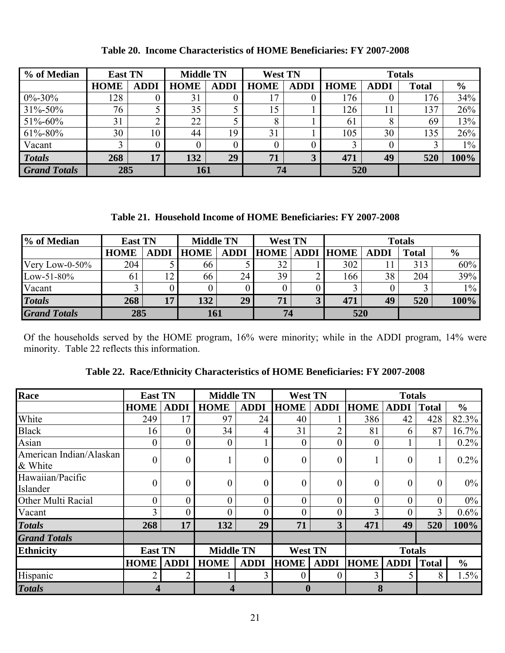| % of Median         | <b>East TN</b> |             | <b>Middle TN</b> |             | <b>West TN</b> |             | <b>Totals</b> |             |              |               |
|---------------------|----------------|-------------|------------------|-------------|----------------|-------------|---------------|-------------|--------------|---------------|
|                     | <b>HOME</b>    | <b>ADDI</b> | <b>HOME</b>      | <b>ADDI</b> | <b>HOME</b>    | <b>ADDI</b> | <b>HOME</b>   | <b>ADDI</b> | <b>Total</b> | $\frac{6}{6}$ |
| $0\% - 30\%$        | 128            |             | 31               |             |                |             | 176           |             | 176          | 34%           |
| 31%-50%             | 76             |             | 35               |             | 15             |             | 126           | 11          | 137          | 26%           |
| 51%-60%             | 31             |             | 22               |             |                |             | 61            | 8           | 69           | 13%           |
| 61%-80%             | 30             | 10          | 44               | 19          | 31             |             | 105           | 30          | 135          | 26%           |
| Vacant              |                |             |                  |             |                |             | 3             |             |              | $1\%$         |
| <b>Totals</b>       | 268            | 17          | 132              | 29          | 71             |             | 471           | 49          | 520          | 100%          |
| <b>Grand Totals</b> | 285            |             | 161              |             | 74             |             | 520           |             |              |               |

#### **Table 20. Income Characteristics of HOME Beneficiaries: FY 2007-2008**

**Table 21. Household Income of HOME Beneficiaries: FY 2007-2008** 

| % of Median         | <b>East TN</b> |             | <b>Middle TN</b> |             | <b>West TN</b> |   | <b>Totals</b>         |             |       |               |
|---------------------|----------------|-------------|------------------|-------------|----------------|---|-----------------------|-------------|-------|---------------|
|                     | <b>HOME</b>    | <b>ADDI</b> | <b>HOME</b>      | <b>ADDI</b> |                |   | <b>HOME ADDI HOME</b> | <b>ADDI</b> | Total | $\frac{6}{9}$ |
| Very Low-0-50 $%$   | 204            |             | 66               |             | 32             |   | 302                   |             | 313   | 60%           |
| $Low-51-80%$        | 61             | 12          | 66               | 24          | 39             |   | 166                   | 38          | 204   | 39%           |
| Vacant              |                |             |                  |             |                |   |                       |             |       | $1\%$         |
| <b>Totals</b>       | 268            | 17          | 132              | 29          | 71             | 3 | 471                   | 49          | 520   | 100%          |
| <b>Grand Totals</b> | 285            |             | 161              |             | 74             |   | 520                   |             |       |               |

Of the households served by the HOME program, 16% were minority; while in the ADDI program, 14% were minority. Table 22 reflects this information.

| Race                               | <b>East TN</b>          |                | <b>Middle TN</b>        |                  | <b>West TN</b>   |                  |                  | <b>Totals</b>    |                  |               |
|------------------------------------|-------------------------|----------------|-------------------------|------------------|------------------|------------------|------------------|------------------|------------------|---------------|
|                                    | <b>HOME</b>             | <b>ADDI</b>    | <b>HOME</b>             | <b>ADDI</b>      | <b>HOME</b>      | <b>ADDI</b>      | <b>HOME</b>      | <b>ADDI</b>      | <b>Total</b>     | $\frac{6}{6}$ |
| White                              | 249                     | 17             | 97                      | 24               | 40               |                  | 386              | 42               | 428              | 82.3%         |
| <b>Black</b>                       | 16                      | $\theta$       | 34                      | 4                | 31               | $\overline{2}$   | 81               | 6                | 87               | 16.7%         |
| Asian                              | $\boldsymbol{0}$        | $\theta$       | $\overline{0}$          |                  | $\theta$         | $\boldsymbol{0}$ | $\boldsymbol{0}$ |                  |                  | 0.2%          |
| American Indian/Alaskan<br>& White | $\boldsymbol{0}$        | $\theta$       |                         | $\boldsymbol{0}$ | $\boldsymbol{0}$ | $\boldsymbol{0}$ | 1                | 0                | $\mathbf{I}$     | 0.2%          |
| Hawaiian/Pacific<br>Islander       | $\boldsymbol{0}$        | $\overline{0}$ | $\boldsymbol{0}$        | $\boldsymbol{0}$ | $\boldsymbol{0}$ | $\boldsymbol{0}$ | $\boldsymbol{0}$ | $\boldsymbol{0}$ | $\boldsymbol{0}$ | 0%            |
| Other Multi Racial                 | $\overline{0}$          | $\theta$       | $\overline{0}$          | $\theta$         | $\overline{0}$   | $\overline{0}$   | $\overline{0}$   | 0                | $\overline{0}$   | 0%            |
| Vacant                             | 3                       |                | 0                       | 0                | 0                | $\overline{0}$   | 3                | 0                | 3                | 0.6%          |
| <b>Totals</b>                      | 268                     | 17             | 132                     | 29               | 71               | 3                | 471              | 49               | 520              | 100%          |
| <b>Grand Totals</b>                |                         |                |                         |                  |                  |                  |                  |                  |                  |               |
| <b>Ethnicity</b>                   | <b>East TN</b>          |                | <b>Middle TN</b>        |                  | <b>West TN</b>   |                  |                  | <b>Totals</b>    |                  |               |
|                                    | <b>HOME</b>             | <b>ADDI</b>    | <b>HOME</b>             | <b>ADDI</b>      | <b>HOME</b>      | <b>ADDI</b>      | <b>HOME</b>      | <b>ADDI</b>      | <b>Total</b>     | $\frac{0}{0}$ |
| Hispanic                           | 2                       | $\overline{2}$ |                         | 3                | $\theta$         | 0                | 3                | 5                | 8                | 1.5%          |
| <b>Totals</b>                      | $\overline{\mathbf{4}}$ |                | $\overline{\mathbf{4}}$ |                  | $\boldsymbol{0}$ |                  | 8                |                  |                  |               |

**Table 22. Race/Ethnicity Characteristics of HOME Beneficiaries: FY 2007-2008**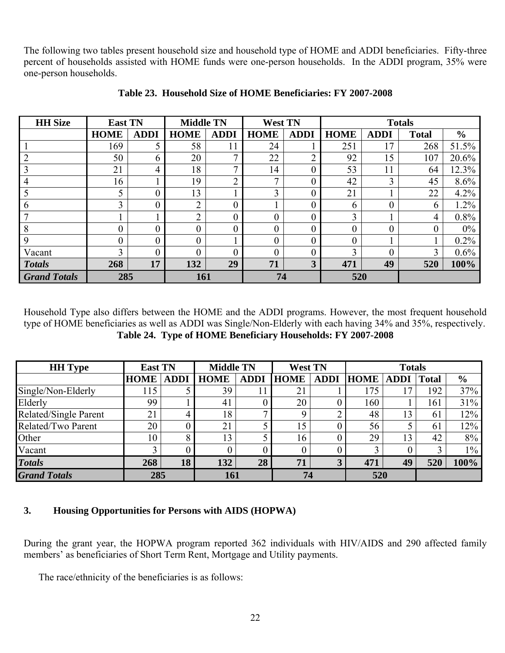The following two tables present household size and household type of HOME and ADDI beneficiaries. Fifty-three percent of households assisted with HOME funds were one-person households. In the ADDI program, 35% were one-person households.

| <b>HH</b> Size      | <b>East TN</b> |                | <b>Middle TN</b> |             | <b>West TN</b> |             |             |             | <b>Totals</b> |               |
|---------------------|----------------|----------------|------------------|-------------|----------------|-------------|-------------|-------------|---------------|---------------|
|                     | <b>HOME</b>    | <b>ADDI</b>    | <b>HOME</b>      | <b>ADDI</b> | <b>HOME</b>    | <b>ADDI</b> | <b>HOME</b> | <b>ADDI</b> | <b>Total</b>  | $\frac{0}{0}$ |
|                     | 169            | 5              | 58               | 11          | 24             |             | 251         | 17          | 268           | 51.5%         |
| ∍                   | 50             | 6              | 20               | ⇁           | 22             | っ           | 92          | 15          | 107           | 20.6%         |
|                     | 21             | 4              | 18               | 7           | 14             | $\theta$    | 53          | 11          | 64            | 12.3%         |
| 4                   | 16             |                | 19               | ↑           | ⇁              | 0           | 42          | 3           | 45            | 8.6%          |
|                     | 5              | 0              | 13               |             | 3              | 0           | 21          |             | 22            | 4.2%          |
| 6                   | 3              | $\theta$       | ↑                | 0           |                | 0           | 6           | $\theta$    | 6             | 1.2%          |
|                     |                |                | ↑                | 0           | 0              | 0           | 3           |             | 4             | 0.8%          |
| 8                   | $\overline{0}$ | $\overline{0}$ | 0                | 0           | 0              | 0           | $\theta$    | $\theta$    | 0             | 0%            |
| 9                   | $\overline{0}$ | $\overline{0}$ | 0                |             | 0              | $\theta$    | $\theta$    |             |               | $0.2\%$       |
| Vacant              | 3              | 0              |                  | 0           | 0              | 0           | 3           | $\theta$    | 3             | 0.6%          |
| <b>Totals</b>       | 268            | 17             | 132              | 29          | 71             | 3           | 471         | 49          | 520           | 100%          |
| <b>Grand Totals</b> | 285            |                | 161              |             | 74             |             | 520         |             |               |               |

#### **Table 23. Household Size of HOME Beneficiaries: FY 2007-2008**

Household Type also differs between the HOME and the ADDI programs. However, the most frequent household type of HOME beneficiaries as well as ADDI was Single/Non-Elderly with each having 34% and 35%, respectively. **Table 24. Type of HOME Beneficiary Households: FY 2007-2008** 

| <b>HH</b> Type        | <b>East TN</b> |             |             | <b>Middle TN</b> |             | <b>West TN</b> |                  | <b>Totals</b>   |              |               |  |
|-----------------------|----------------|-------------|-------------|------------------|-------------|----------------|------------------|-----------------|--------------|---------------|--|
|                       | <b>HOME</b>    | <b>ADDI</b> | <b>HOME</b> | <b>ADDI</b>      | <b>HOME</b> | <b>ADDI</b>    | <b>HOME</b> ADDI |                 | <b>Total</b> | $\frac{6}{6}$ |  |
| Single/Non-Elderly    | 115            |             | 39          |                  | 21          |                | 175              | $\mathcal{I}$   | 192          | 37%           |  |
| Elderly               | 99             |             | 41          |                  | 20          |                | 160              |                 | 161          | 31%           |  |
| Related/Single Parent | 21             | 4           | 18          |                  | q           |                | 48               | 13              | 61           | 12%           |  |
| Related/Two Parent    | 20             |             | 21          |                  | 15          | 0              | 56               |                 | 61           | 12%           |  |
| Other                 | 10             | 8           | 13          |                  | 16          |                | 29               | $\overline{13}$ | 42           | 8%            |  |
| Vacant                |                |             |             |                  | 0           |                |                  |                 |              | $1\%$         |  |
| <b>Totals</b>         | 268            | 18          | 132         | 28               | 71          |                | 471              | 49              | 520          | 100%          |  |
| <b>Grand Totals</b>   | 285            |             | 161         |                  | 74          |                | 520              |                 |              |               |  |

## **3. Housing Opportunities for Persons with AIDS (HOPWA)**

During the grant year, the HOPWA program reported 362 individuals with HIV/AIDS and 290 affected family members' as beneficiaries of Short Term Rent, Mortgage and Utility payments.

The race/ethnicity of the beneficiaries is as follows: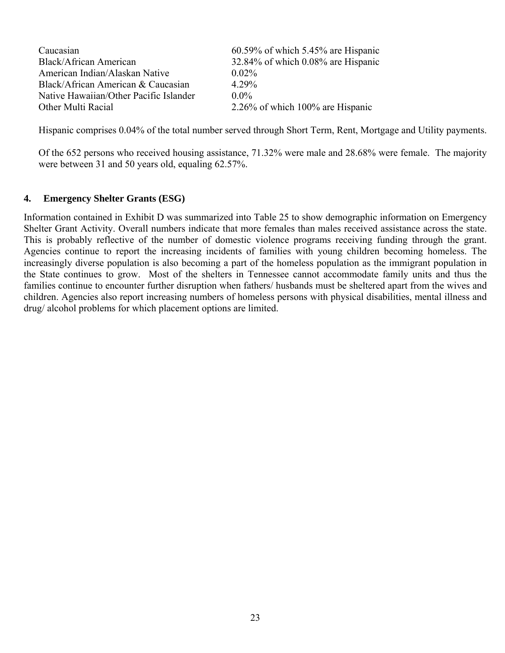| Caucasian                              | $60.59\%$ of which 5.45% are Hispanic |
|----------------------------------------|---------------------------------------|
| Black/African American                 | 32.84% of which 0.08% are Hispanic    |
| American Indian/Alaskan Native         | $0.02\%$                              |
| Black/African American & Caucasian     | 4.29%                                 |
| Native Hawaiian/Other Pacific Islander | $0.0\%$                               |
| Other Multi Racial                     | $2.26\%$ of which 100% are Hispanic   |

Hispanic comprises 0.04% of the total number served through Short Term, Rent, Mortgage and Utility payments.

Of the 652 persons who received housing assistance, 71.32% were male and 28.68% were female. The majority were between 31 and 50 years old, equaling 62.57%.

#### **4. Emergency Shelter Grants (ESG)**

Information contained in Exhibit D was summarized into Table 25 to show demographic information on Emergency Shelter Grant Activity. Overall numbers indicate that more females than males received assistance across the state. This is probably reflective of the number of domestic violence programs receiving funding through the grant. Agencies continue to report the increasing incidents of families with young children becoming homeless. The increasingly diverse population is also becoming a part of the homeless population as the immigrant population in the State continues to grow. Most of the shelters in Tennessee cannot accommodate family units and thus the families continue to encounter further disruption when fathers/ husbands must be sheltered apart from the wives and children. Agencies also report increasing numbers of homeless persons with physical disabilities, mental illness and drug/ alcohol problems for which placement options are limited.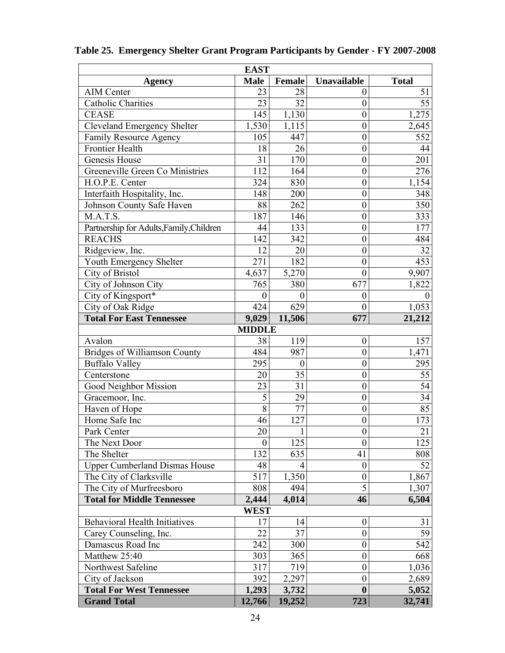|                                          | <b>EAST</b>      |               |                  |                 |  |  |  |  |  |  |
|------------------------------------------|------------------|---------------|------------------|-----------------|--|--|--|--|--|--|
| Agency                                   | <b>Male</b>      | <b>Female</b> | Unavailable      | <b>Total</b>    |  |  |  |  |  |  |
| <b>AIM Center</b>                        | 23               | 28            | 0                | 51              |  |  |  |  |  |  |
| <b>Catholic Charities</b>                | 23               | 32            | $\overline{0}$   | 55              |  |  |  |  |  |  |
| <b>CEASE</b>                             | 145              | 1,130         | $\boldsymbol{0}$ | 1,275           |  |  |  |  |  |  |
| <b>Cleveland Emergency Shelter</b>       | 1,530            | 1,115         | $\boldsymbol{0}$ | 2,645           |  |  |  |  |  |  |
| <b>Family Resource Agency</b>            | 105              | 447           | $\overline{0}$   | 552             |  |  |  |  |  |  |
| <b>Frontier Health</b>                   | 18               | 26            | $\boldsymbol{0}$ | 44              |  |  |  |  |  |  |
| Genesis House                            | 31               | 170           | $\boldsymbol{0}$ | 201             |  |  |  |  |  |  |
| Greeneville Green Co Ministries          | 112              | 164           | $\overline{0}$   | 276             |  |  |  |  |  |  |
| H.O.P.E. Center                          | 324              | 830           | $\overline{0}$   | 1,154           |  |  |  |  |  |  |
| Interfaith Hospitality, Inc.             | 148              | 200           | $\boldsymbol{0}$ | 348             |  |  |  |  |  |  |
| Johnson County Safe Haven                | 88               | 262           | $\boldsymbol{0}$ | 350             |  |  |  |  |  |  |
| M.A.T.S.                                 | 187              | 146           | $\overline{0}$   | 333             |  |  |  |  |  |  |
| Partnership for Adults, Family, Children | 44               | 133           | $\boldsymbol{0}$ | 177             |  |  |  |  |  |  |
| <b>REACHS</b>                            | 142              | 342           | $\boldsymbol{0}$ | 484             |  |  |  |  |  |  |
| Ridgeview, Inc.                          | 12               | 20            | $\overline{0}$   | 32              |  |  |  |  |  |  |
| Youth Emergency Shelter                  | 271              | 182           | $\overline{0}$   | 453             |  |  |  |  |  |  |
| City of Bristol                          | 4,637            | 5,270         | $\mathbf{0}$     | 9,907           |  |  |  |  |  |  |
| City of Johnson City                     | 765              | 380           | 677              | 1,822           |  |  |  |  |  |  |
| City of Kingsport*                       | $\boldsymbol{0}$ | $\theta$      | $\overline{0}$   | $\Omega$        |  |  |  |  |  |  |
| City of Oak Ridge                        | 424              | 629           | $\boldsymbol{0}$ | 1,053           |  |  |  |  |  |  |
| <b>Total For East Tennessee</b>          | 9,029            | 11,506        | 677              | 21,212          |  |  |  |  |  |  |
|                                          | <b>MIDDLE</b>    |               |                  |                 |  |  |  |  |  |  |
| Avalon                                   | 38               | 119           | $\boldsymbol{0}$ | 157             |  |  |  |  |  |  |
| <b>Bridges of Williamson County</b>      | 484              | 987           | $\overline{0}$   | 1,471           |  |  |  |  |  |  |
| <b>Buffalo Valley</b>                    | 295              | $\theta$      | $\boldsymbol{0}$ | 295             |  |  |  |  |  |  |
| Centerstone                              | 20               | 35            | $\overline{0}$   | 55              |  |  |  |  |  |  |
| Good Neighbor Mission                    | 23               | 31            | $\boldsymbol{0}$ | 54              |  |  |  |  |  |  |
| Gracemoor, Inc.                          | 5                | 29            | $\overline{0}$   | $\overline{34}$ |  |  |  |  |  |  |
| Haven of Hope                            | 8                | 77            | $\overline{0}$   | 85              |  |  |  |  |  |  |
| Home Safe Inc                            | 46               | 127           | $\overline{0}$   | 173             |  |  |  |  |  |  |
| Park Center                              | $\overline{20}$  | $\mathbf{I}$  | $\boldsymbol{0}$ | $\overline{21}$ |  |  |  |  |  |  |
| The Next Door                            | $\boldsymbol{0}$ | 125           | $\overline{0}$   | 125             |  |  |  |  |  |  |
| The Shelter                              | 132              | 635           | 41               | 808             |  |  |  |  |  |  |
| <b>Upper Cumberland Dismas House</b>     | 48               | 4             | $\boldsymbol{0}$ | 52              |  |  |  |  |  |  |
| The City of Clarksville                  | 517              | 1,350         | $\boldsymbol{0}$ | 1,867           |  |  |  |  |  |  |
| The City of Murfreesboro                 | 808              | 494           | 5                | 1,307           |  |  |  |  |  |  |
| <b>Total for Middle Tennessee</b>        | 2,444            | 4,014         | 46               | 6,504           |  |  |  |  |  |  |
| <b>WEST</b>                              |                  |               |                  |                 |  |  |  |  |  |  |
| <b>Behavioral Health Initiatives</b>     | 17               | 14            | $\boldsymbol{0}$ | 31              |  |  |  |  |  |  |
| Carey Counseling, Inc.                   | 22               | 37            | $\mathbf{0}$     | 59              |  |  |  |  |  |  |
| Damascus Road Inc                        | 242              | 300           | $\boldsymbol{0}$ | 542             |  |  |  |  |  |  |
| Matthew 25:40                            | 303              | 365           | $\boldsymbol{0}$ | 668             |  |  |  |  |  |  |
| Northwest Safeline                       | 317              | 719           | $\boldsymbol{0}$ | 1,036           |  |  |  |  |  |  |
| City of Jackson                          | 392              | 2,297         | $\boldsymbol{0}$ | 2,689           |  |  |  |  |  |  |
| <b>Total For West Tennessee</b>          | 1,293            | 3,732         | $\boldsymbol{0}$ | 5,052           |  |  |  |  |  |  |
| <b>Grand Total</b>                       | 12,766           | 19,252        | 723              | 32,741          |  |  |  |  |  |  |

# **Table 25. Emergency Shelter Grant Program Participants by Gender - FY 2007-2008**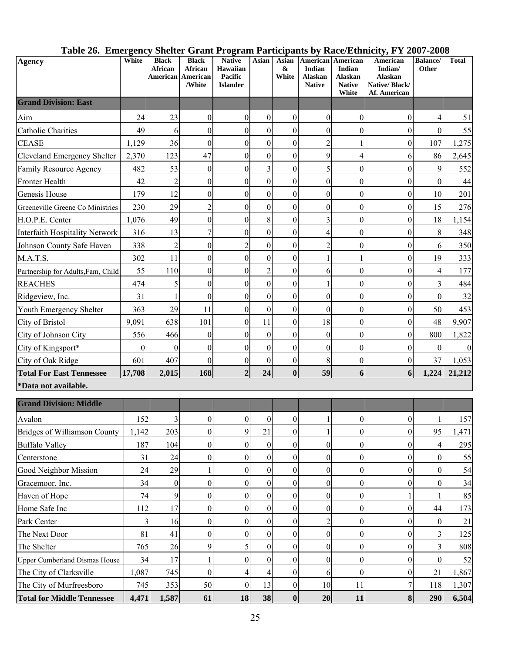| Table 26. Emergency Shelter Grant Program Participants by Race/Ethnicity, FY 2007-2008 |  |  |  |
|----------------------------------------------------------------------------------------|--|--|--|
|                                                                                        |  |  |  |

| Agency                               | White    | <b>Black</b><br><b>African</b><br>American | <b>Black</b><br>African<br>American<br>/White | <b>Native</b><br>Hawaiian<br>Pacific<br><b>Islander</b> | Asian            | Asian<br>&<br>White | American<br>Indian<br><b>Alaskan</b><br><b>Native</b> | American<br>Indian<br>Alaskan<br><b>Native</b><br>White | American<br>Indian/<br><b>Alaskan</b><br>Native/Black/<br>Af. American | <b>Balance/</b><br><b>Other</b> | <b>Total</b> |
|--------------------------------------|----------|--------------------------------------------|-----------------------------------------------|---------------------------------------------------------|------------------|---------------------|-------------------------------------------------------|---------------------------------------------------------|------------------------------------------------------------------------|---------------------------------|--------------|
| <b>Grand Division: East</b>          |          |                                            |                                               |                                                         |                  |                     |                                                       |                                                         |                                                                        |                                 |              |
| Aim                                  | 24       | 23                                         | $\boldsymbol{0}$                              | $\theta$                                                | $\overline{0}$   | $\theta$            | $\boldsymbol{0}$                                      | $\theta$                                                | $\boldsymbol{0}$                                                       | 4                               | 51           |
| <b>Catholic Charities</b>            | 49       | 6                                          | $\theta$                                      | $\theta$                                                | $\theta$         | $\theta$            | 0                                                     | $\boldsymbol{0}$                                        | $\boldsymbol{0}$                                                       | $\theta$                        | 55           |
| <b>CEASE</b>                         | 1,129    | 36                                         | $\boldsymbol{0}$                              | $\theta$                                                | $\boldsymbol{0}$ | $\boldsymbol{0}$    | $\overline{c}$                                        | 1                                                       | $\boldsymbol{0}$                                                       | 107                             | 1,275        |
| Cleveland Emergency Shelter          | 2,370    | 123                                        | 47                                            | $\theta$                                                | $\theta$         | $\boldsymbol{0}$    | 9                                                     | $\overline{4}$                                          | 6                                                                      | 86                              | 2,645        |
| Family Resource Agency               | 482      | 53                                         | $\boldsymbol{0}$                              | $\theta$                                                | 3                | $\boldsymbol{0}$    | 5                                                     | $\boldsymbol{0}$                                        | $\boldsymbol{0}$                                                       | 9                               | 552          |
| Fronter Health                       | 42       | $\overline{c}$                             | $\boldsymbol{0}$                              | $\boldsymbol{0}$                                        | $\boldsymbol{0}$ | $\boldsymbol{0}$    | $\boldsymbol{0}$                                      | $\boldsymbol{0}$                                        | $\boldsymbol{0}$                                                       | $\boldsymbol{0}$                | 44           |
| Genesis House                        | 179      | 12                                         | $\boldsymbol{0}$                              | $\theta$                                                | $\boldsymbol{0}$ | $\boldsymbol{0}$    | $\boldsymbol{0}$                                      | $\boldsymbol{0}$                                        | $\boldsymbol{0}$                                                       | 10                              | 201          |
| Greeneville Greene Co Ministries     | 230      | 29                                         | $\overline{c}$                                | $\theta$                                                | $\boldsymbol{0}$ | $\boldsymbol{0}$    | $\boldsymbol{0}$                                      | $\boldsymbol{0}$                                        | $\boldsymbol{0}$                                                       | 15                              | 276          |
| H.O.P.E. Center                      | 1,076    | 49                                         | $\boldsymbol{0}$                              | $\theta$                                                | 8                | $\theta$            | 3                                                     | $\boldsymbol{0}$                                        | $\boldsymbol{0}$                                                       | 18                              | 1,154        |
| Interfaith Hospitality Network       | 316      | 13                                         | 7                                             | $\theta$                                                | $\boldsymbol{0}$ | $\boldsymbol{0}$    | 4                                                     | $\boldsymbol{0}$                                        | $\boldsymbol{0}$                                                       | 8                               | 348          |
| Johnson County Safe Haven            | 338      | $\overline{c}$                             | $\boldsymbol{0}$                              | $\overline{2}$                                          | $\boldsymbol{0}$ | $\boldsymbol{0}$    | $\overline{c}$                                        | $\boldsymbol{0}$                                        | $\boldsymbol{0}$                                                       | 6                               | 350          |
| M.A.T.S.                             | 302      | 11                                         | $\boldsymbol{0}$                              | $\boldsymbol{0}$                                        | $\boldsymbol{0}$ | $\boldsymbol{0}$    |                                                       | $\mathbf{1}$                                            | $\boldsymbol{0}$                                                       | 19                              | 333          |
| Partnership for Adults, Fam, Child   | 55       | 110                                        | $\boldsymbol{0}$                              | $\theta$                                                | $\overline{2}$   | $\boldsymbol{0}$    | 6                                                     | $\boldsymbol{0}$                                        | $\boldsymbol{0}$                                                       | 4                               | 177          |
| <b>REACHES</b>                       | 474      | 5                                          | $\mathbf{0}$                                  | $\theta$                                                | $\boldsymbol{0}$ | $\boldsymbol{0}$    |                                                       | $\boldsymbol{0}$                                        | $\boldsymbol{0}$                                                       | 3                               | 484          |
| Ridgeview, Inc.                      | 31       |                                            | $\boldsymbol{0}$                              | $\theta$                                                | $\boldsymbol{0}$ | $\boldsymbol{0}$    | $\boldsymbol{0}$                                      | $\boldsymbol{0}$                                        | $\boldsymbol{0}$                                                       | $\theta$                        | 32           |
| Youth Emergency Shelter              | 363      | 29                                         | 11                                            | $\theta$                                                | $\boldsymbol{0}$ | $\theta$            | $\theta$                                              | $\boldsymbol{0}$                                        | $\boldsymbol{0}$                                                       | 50                              | 453          |
| City of Bristol                      | 9,091    | 638                                        | 101                                           | $\theta$                                                | 11               | $\boldsymbol{0}$    | 18                                                    | $\boldsymbol{0}$                                        | $\boldsymbol{0}$                                                       | 48                              | 9,907        |
| City of Johnson City                 | 556      | 466                                        | 0                                             | $\boldsymbol{0}$                                        | $\boldsymbol{0}$ | $\boldsymbol{0}$    | $\boldsymbol{0}$                                      | $\boldsymbol{0}$                                        | $\boldsymbol{0}$                                                       | 800                             | 1,822        |
| City of Kingsport*                   | $\Omega$ | $\overline{0}$                             | $\boldsymbol{0}$                              | $\theta$                                                | $\boldsymbol{0}$ | $\boldsymbol{0}$    | $\boldsymbol{0}$                                      | $\boldsymbol{0}$                                        | $\boldsymbol{0}$                                                       | $\theta$                        | $\mathbf{0}$ |
| City of Oak Ridge                    | 601      | 407                                        | $\theta$                                      | $\theta$                                                | $\boldsymbol{0}$ | $\boldsymbol{0}$    | 8                                                     | $\boldsymbol{0}$                                        | $\boldsymbol{0}$                                                       | 37                              | 1,053        |
| <b>Total For East Tennessee</b>      | 17,708   | 2,015                                      | 168                                           | $\overline{2}$                                          | 24               | $\boldsymbol{0}$    | 59                                                    | 6                                                       | 6                                                                      | 1,224                           | 21,212       |
| *Data not available.                 |          |                                            |                                               |                                                         |                  |                     |                                                       |                                                         |                                                                        |                                 |              |
| <b>Grand Division: Middle</b>        |          |                                            |                                               |                                                         |                  |                     |                                                       |                                                         |                                                                        |                                 |              |
| Avalon                               | 152      | 3                                          | $\boldsymbol{0}$                              | $\mathbf{0}$                                            | $\boldsymbol{0}$ | $\boldsymbol{0}$    |                                                       | $\boldsymbol{0}$                                        | $\boldsymbol{0}$                                                       |                                 | 157          |
| Bridges of Williamson County         | 1,142    | 203                                        | $\boldsymbol{0}$                              | 9                                                       | 21               | $\boldsymbol{0}$    |                                                       | $\boldsymbol{0}$                                        | $\boldsymbol{0}$                                                       | 95                              | 1,471        |
| <b>Buffalo Valley</b>                | 187      | 104                                        | $\overline{0}$                                | $\boldsymbol{0}$                                        | $\boldsymbol{0}$ | $\boldsymbol{0}$    | $\boldsymbol{0}$                                      | $\mathbf{0}$                                            | $\boldsymbol{0}$                                                       | $\overline{4}$                  | 295          |
| Centerstone                          | 31       | 24                                         | $\overline{0}$                                | $\mathbf{0}$                                            | $\mathbf{0}$     | $\boldsymbol{0}$    | 0                                                     | $\boldsymbol{0}$                                        | $\boldsymbol{0}$                                                       | $\mathbf{0}$                    | 55           |
| Good Neighbor Mission                | 24       | 29                                         |                                               | $\mathbf{0}$                                            | $\mathbf{0}$     | $\boldsymbol{0}$    | $\boldsymbol{0}$                                      | $\mathbf{0}$                                            | $\boldsymbol{0}$                                                       | $\mathbf{0}$                    | 54           |
| Gracemoor, Inc.                      | 34       | $\boldsymbol{0}$                           | $\overline{0}$                                | $\mathbf{0}$                                            | $\mathbf{0}$     | 0                   | $\boldsymbol{0}$                                      | $\boldsymbol{0}$                                        | $\boldsymbol{0}$                                                       | $\mathbf{0}$                    | 34           |
| Haven of Hope                        | 74       | 9                                          | $\overline{0}$                                | $\theta$                                                | $\boldsymbol{0}$ | $\boldsymbol{0}$    | $\boldsymbol{0}$                                      | $\boldsymbol{0}$                                        | $\,1$                                                                  |                                 | 85           |
| Home Safe Inc                        | 112      | 17                                         | $\overline{0}$                                | $\boldsymbol{0}$                                        | $\boldsymbol{0}$ | $\boldsymbol{0}$    | $\overline{0}$                                        | $\theta$                                                | $\boldsymbol{0}$                                                       | 44                              | 173          |
| Park Center                          | 3        | 16                                         | 0                                             | $\mathbf{0}$                                            | $\boldsymbol{0}$ | $\theta$            | 2                                                     | $\boldsymbol{0}$                                        | $\boldsymbol{0}$                                                       | $\bf{0}$                        | 21           |
| The Next Door                        | 81       | 41                                         | $\overline{0}$                                | $\boldsymbol{0}$                                        | $\boldsymbol{0}$ | $\boldsymbol{0}$    | $\overline{0}$                                        | $\boldsymbol{0}$                                        | $\boldsymbol{0}$                                                       | 3                               | 125          |
| The Shelter                          | 765      | 26                                         | 9                                             | 5                                                       | $\mathbf{0}$     | $\boldsymbol{0}$    | $\overline{0}$                                        | $\boldsymbol{0}$                                        | $\boldsymbol{0}$                                                       | 3                               | 808          |
| <b>Upper Cumberland Dismas House</b> | 34       | 17                                         |                                               | $\mathbf{0}$                                            | $\boldsymbol{0}$ | $\boldsymbol{0}$    | $\boldsymbol{0}$                                      | $\boldsymbol{0}$                                        | $\boldsymbol{0}$                                                       | $\mathbf{0}$                    | 52           |
| The City of Clarksville              | 1,087    | 745                                        | $\boldsymbol{0}$                              | 4                                                       | 4                | $\boldsymbol{0}$    | 6                                                     | $\boldsymbol{0}$                                        | $\boldsymbol{0}$                                                       | 21                              | 1,867        |
| The City of Murfreesboro             | 745      | 353                                        | 50                                            | $\mathbf{0}$                                            | 13               | $\boldsymbol{0}$    | 10                                                    | 11                                                      | $\boldsymbol{7}$                                                       | 118                             | 1,307        |
| <b>Total for Middle Tennessee</b>    | 4,471    | 1,587                                      | 61                                            | 18                                                      | 38               | $\bf{0}$            | 20                                                    | 11                                                      | $\bf{8}$                                                               | 290                             | 6,504        |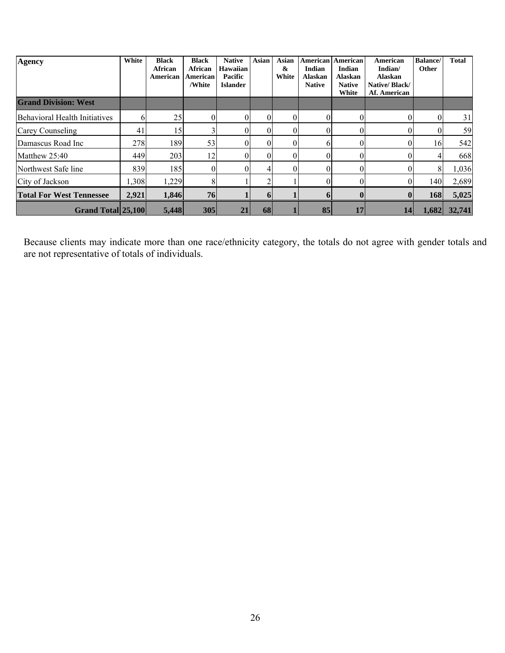| Agency                          | White | <b>Black</b><br><b>African</b><br>American | <b>Black</b><br><b>African</b><br>American<br>/White | <b>Native</b><br><b>Hawaiian</b><br>Pacific<br><b>Islander</b> | <b>Asian</b> | <b>Asian</b><br>&<br>White | American<br><b>Indian</b><br><b>Alaskan</b><br><b>Native</b> | <b>American</b><br><b>Indian</b><br><b>Alaskan</b><br><b>Native</b><br>White | <b>American</b><br>Indian/<br><b>Alaskan</b><br>Native/Black/<br>Af. American | <b>Balance</b> /<br><b>Other</b> | <b>Total</b> |
|---------------------------------|-------|--------------------------------------------|------------------------------------------------------|----------------------------------------------------------------|--------------|----------------------------|--------------------------------------------------------------|------------------------------------------------------------------------------|-------------------------------------------------------------------------------|----------------------------------|--------------|
| <b>Grand Division: West</b>     |       |                                            |                                                      |                                                                |              |                            |                                                              |                                                                              |                                                                               |                                  |              |
| Behavioral Health Initiatives   |       | 25                                         | O                                                    |                                                                |              |                            |                                                              | 0                                                                            |                                                                               |                                  | 31           |
| Carey Counseling                | 41    | 15                                         |                                                      |                                                                |              | $\Omega$                   |                                                              | 0                                                                            |                                                                               |                                  | 59           |
| Damascus Road Inc               | 278   | 189                                        | 53                                                   |                                                                |              |                            | h.                                                           | 0                                                                            |                                                                               | 16 <sup> </sup>                  | 542          |
| Matthew 25:40                   | 449   | 203                                        | 12                                                   |                                                                |              |                            |                                                              |                                                                              |                                                                               |                                  | 668          |
| Northwest Safe line             | 839   | 185                                        |                                                      |                                                                |              |                            |                                                              |                                                                              |                                                                               |                                  | 1,036        |
| City of Jackson                 | .308  | 1,229                                      | 8                                                    |                                                                |              |                            | 0                                                            | $\theta$                                                                     | 0                                                                             | 140                              | 2,689        |
| <b>Total For West Tennessee</b> | 2,921 | 1,846                                      | 76                                                   |                                                                | 6            |                            | 6                                                            | $\boldsymbol{0}$                                                             | $\mathbf{0}$                                                                  | 168                              | 5,025        |
| <b>Grand Total 25,100</b>       |       | 5.448                                      | 305                                                  | 21                                                             | 68           |                            | 85                                                           | 17                                                                           | 14                                                                            | 1,682                            | 32,741       |

Because clients may indicate more than one race/ethnicity category, the totals do not agree with gender totals and are not representative of totals of individuals.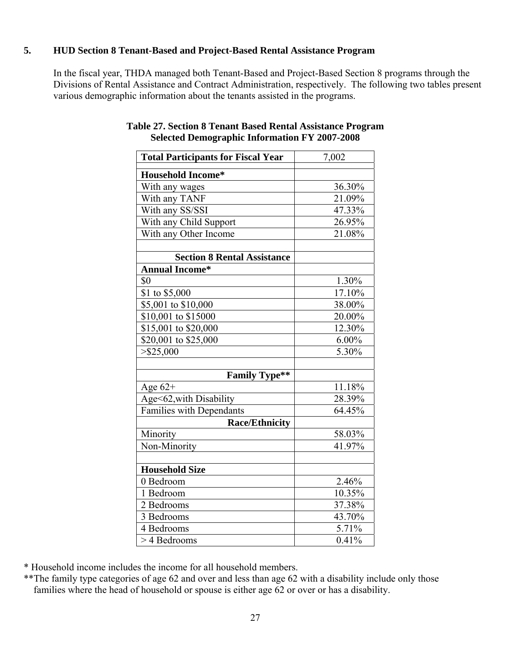# **5. HUD Section 8 Tenant-Based and Project-Based Rental Assistance Program**

In the fiscal year, THDA managed both Tenant-Based and Project-Based Section 8 programs through the Divisions of Rental Assistance and Contract Administration, respectively. The following two tables present various demographic information about the tenants assisted in the programs.

| <b>Total Participants for Fiscal Year</b> | 7,002    |  |  |  |  |
|-------------------------------------------|----------|--|--|--|--|
| <b>Household Income*</b>                  |          |  |  |  |  |
| With any wages                            | 36.30%   |  |  |  |  |
| With any TANF                             | 21.09%   |  |  |  |  |
| With any SS/SSI                           | 47.33%   |  |  |  |  |
| With any Child Support                    | 26.95%   |  |  |  |  |
| With any Other Income                     | 21.08%   |  |  |  |  |
|                                           |          |  |  |  |  |
| <b>Section 8 Rental Assistance</b>        |          |  |  |  |  |
| <b>Annual Income*</b>                     |          |  |  |  |  |
| \$0                                       | 1.30%    |  |  |  |  |
| $\overline{$}1$ to \$5,000                | 17.10%   |  |  |  |  |
| \$5,001 to \$10,000                       | 38.00%   |  |  |  |  |
| \$10,001 to \$15000                       | 20.00%   |  |  |  |  |
| \$15,001 to \$20,000                      | 12.30%   |  |  |  |  |
| \$20,001 to \$25,000                      | $6.00\%$ |  |  |  |  |
| $>$ \$25,000                              | 5.30%    |  |  |  |  |
|                                           |          |  |  |  |  |
| <b>Family Type**</b>                      |          |  |  |  |  |
| Age $62+$                                 | 11.18%   |  |  |  |  |
| Age<62, with Disability                   | 28.39%   |  |  |  |  |
| Families with Dependants                  | 64.45%   |  |  |  |  |
| <b>Race/Ethnicity</b>                     |          |  |  |  |  |
| Minority                                  | 58.03%   |  |  |  |  |
| Non-Minority                              | 41.97%   |  |  |  |  |
|                                           |          |  |  |  |  |
| <b>Household Size</b>                     |          |  |  |  |  |
| 0 Bedroom                                 | 2.46%    |  |  |  |  |
| 1 Bedroom                                 | 10.35%   |  |  |  |  |
| 2 Bedrooms                                | 37.38%   |  |  |  |  |
| 3 Bedrooms                                | 43.70%   |  |  |  |  |
| 4 Bedrooms                                | 5.71%    |  |  |  |  |
| > 4 Bedrooms                              | 0.41%    |  |  |  |  |

#### **Table 27. Section 8 Tenant Based Rental Assistance Program Selected Demographic Information FY 2007-2008**

\* Household income includes the income for all household members.

\*\*The family type categories of age 62 and over and less than age 62 with a disability include only those families where the head of household or spouse is either age 62 or over or has a disability.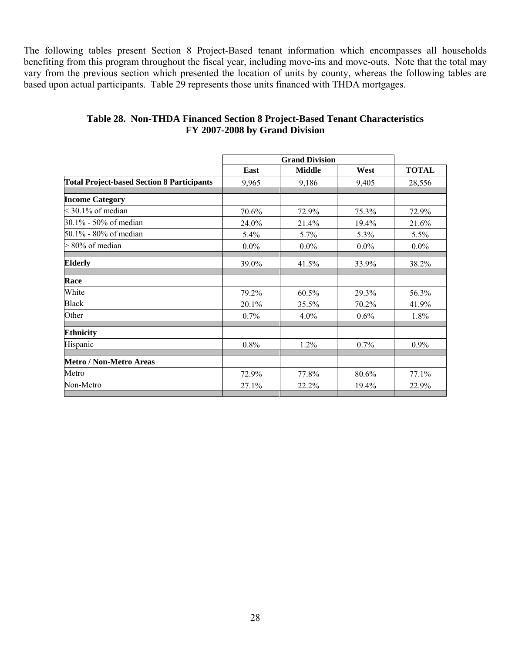The following tables present Section 8 Project-Based tenant information which encompasses all households benefiting from this program throughout the fiscal year, including move-ins and move-outs. Note that the total may vary from the previous section which presented the location of units by county, whereas the following tables are based upon actual participants. Table 29 represents those units financed with THDA mortgages.

|                                                   |         | <b>Grand Division</b> |         |              |
|---------------------------------------------------|---------|-----------------------|---------|--------------|
|                                                   | East    | <b>Middle</b>         | West    | <b>TOTAL</b> |
| <b>Total Project-based Section 8 Participants</b> | 9,965   | 9,186                 | 9,405   | 28,556       |
| <b>Income Category</b>                            |         |                       |         |              |
| $<$ 30.1% of median                               | 70.6%   | 72.9%                 | 75.3%   | 72.9%        |
| 30.1% - 50% of median                             | 24.0%   | 21.4%                 | 19.4%   | 21.6%        |
| 50.1% - 80% of median                             | 5.4%    | 5.7%                  | 5.3%    | 5.5%         |
| $> 80\%$ of median                                | $0.0\%$ | $0.0\%$               | $0.0\%$ | $0.0\%$      |
| <b>Elderly</b>                                    | 39.0%   | 41.5%                 | 33.9%   | 38.2%        |
| Race                                              |         |                       |         |              |
| White                                             | 79.2%   | 60.5%                 | 29.3%   | 56.3%        |
| <b>Black</b>                                      | 20.1%   | 35.5%                 | 70.2%   | 41.9%        |
| Other                                             | $0.7\%$ | 4.0%                  | $0.6\%$ | 1.8%         |
| <b>Ethnicity</b>                                  |         |                       |         |              |
| Hispanic                                          | 0.8%    | 1.2%                  | 0.7%    | $0.9\%$      |
| Metro / Non-Metro Areas                           |         |                       |         |              |
| Metro                                             | 72.9%   | 77.8%                 | 80.6%   | 77.1%        |
| Non-Metro                                         | 27.1%   | 22.2%                 | 19.4%   | 22.9%        |
|                                                   |         |                       |         |              |

# **Table 28. Non-THDA Financed Section 8 Project-Based Tenant Characteristics FY 2007-2008 by Grand Division**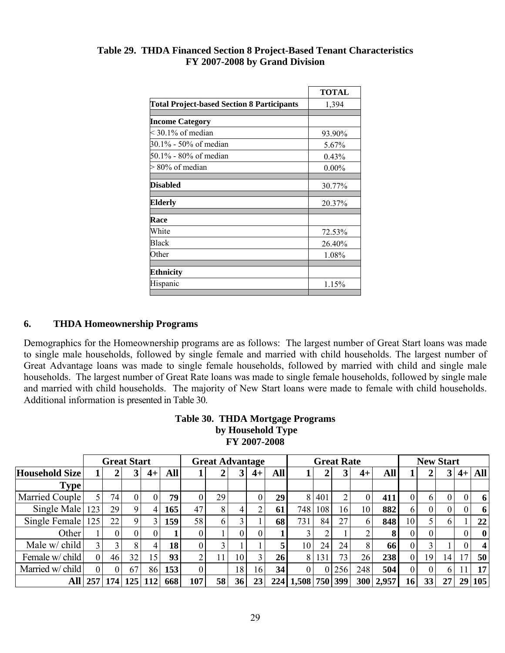#### **Table 29. THDA Financed Section 8 Project-Based Tenant Characteristics FY 2007-2008 by Grand Division**

|                                                   | <b>TOTAL</b> |
|---------------------------------------------------|--------------|
| <b>Total Project-based Section 8 Participants</b> | 1,394        |
|                                                   |              |
| <b>Income Category</b>                            |              |
| $<$ 30.1% of median                               | 93.90%       |
| 30.1% - 50% of median                             | 5.67%        |
| 50.1% - 80% of median                             | 0.43%        |
| $> 80\%$ of median                                | $0.00\%$     |
| Disabled                                          | 30.77%       |
| Elderly                                           | 20.37%       |
| Race                                              |              |
| White                                             | 72.53%       |
| Black                                             | 26.40%       |
| Other                                             | 1.08%        |
| <b>Ethnicity</b>                                  |              |
| Hispanic                                          | 1.15%        |

# **6. THDA Homeownership Programs**

Demographics for the Homeownership programs are as follows: The largest number of Great Start loans was made to single male households, followed by single female and married with child households. The largest number of Great Advantage loans was made to single female households, followed by married with child and single male households. The largest number of Great Rate loans was made to single female households, followed by single male and married with child households. The majority of New Start loans were made to female with child households. Additional information is presented in Table 30.

#### **Table 30. THDA Mortgage Programs by Household Type FY 2007-2008**

|                       |     |     | <b>Great Start</b> |      |            |     | <b>Great Advantage</b> |    |              | <b>Great Rate</b> |                   |          |                 | <b>New Start</b> |       |    |                |    |    |                         |
|-----------------------|-----|-----|--------------------|------|------------|-----|------------------------|----|--------------|-------------------|-------------------|----------|-----------------|------------------|-------|----|----------------|----|----|-------------------------|
| <b>Household Size</b> |     |     |                    | $4+$ | <b>All</b> |     | $\overline{A}$         | 3  | $4+$         | <b>All</b>        |                   |          | 3 <sup>1</sup>  | $4+$             | All   |    |                | 3  |    | $4+$ All                |
| <b>Type</b>           |     |     |                    |      |            |     |                        |    |              |                   |                   |          |                 |                  |       |    |                |    |    |                         |
| Married Couple        |     | 74. |                    |      | 79         |     | 29                     |    | $\mathbf{0}$ | 29                | 8 <sup>1</sup>    | 401      | 2 <sub>1</sub>  | $\theta$         | 411   | 0  | 6              | 0  | 0  | 6                       |
| Single Male           | 123 | 29  |                    |      | 165        | 47  | 8                      |    | ◠            | 61                | 748               | 108      | 16 <sub>1</sub> | 10               | 882   | 6. | $\overline{0}$ | 0  | 0  | 6                       |
| Single Female         | 125 | 22  |                    |      | 159        | 58  | 6                      | 3  |              | 68                | 731               | 84       | 27              | 6                | 848   | 10 |                | h  |    | 22                      |
| Other                 |     |     |                    |      |            |     |                        |    | $\theta$     |                   |                   |          |                 |                  | 8     | 0  | $\Omega$       |    | 0  | $\bf{0}$                |
| Male w/ child         |     |     | 8                  |      | 18         |     | 3                      |    |              | 5                 | 10                | 24       | 24              | 8                | 66    |    |                |    | 0  | $\overline{\mathbf{4}}$ |
| Female w/ child       | 0   | 46  | 32                 | 15   | 93         | ↑   |                        | 10 | 3            | 26                | 8                 | 131      | 73              | 26               | 238   | 0  | 19             | 14 | 17 | 50                      |
| Married w/ child      | 0   |     | 67                 | 86   | 153        |     |                        | 18 | 16           | 34 <sup>1</sup>   | 0                 | $\Omega$ | 256             | 248              | 504   | 0  | $\overline{0}$ | 6  |    | 17 <sup>1</sup>         |
| All                   | 257 |     | 174 125            |      | 668        | 107 | 58                     | 36 | 23           |                   | 224 1,508 750 399 |          |                 | 300              | 2,957 | 16 | 33             | 27 | 29 | 105                     |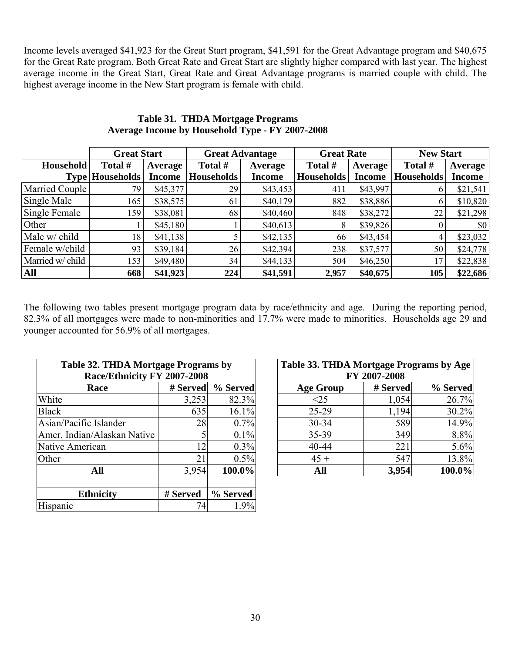Income levels averaged \$41,923 for the Great Start program, \$41,591 for the Great Advantage program and \$40,675 for the Great Rate program. Both Great Rate and Great Start are slightly higher compared with last year. The highest average income in the Great Start, Great Rate and Great Advantage programs is married couple with child. The highest average income in the New Start program is female with child.

|                  | <b>Great Start</b>     |                | <b>Great Advantage</b> |               | <b>Great Rate</b> |               | <b>New Start</b>  |               |  |
|------------------|------------------------|----------------|------------------------|---------------|-------------------|---------------|-------------------|---------------|--|
| <b>Household</b> | Total #                | <b>Average</b> | Total #                | Average       | Total #           | Average       | Total #           | Average       |  |
|                  | <b>Type Households</b> | <b>Income</b>  | <b>Households</b>      | <b>Income</b> | <b>Households</b> | <b>Income</b> | <b>Households</b> | <b>Income</b> |  |
| Married Couple   | 79                     | \$45,377       | 29                     | \$43,453      | 411               | \$43,997      |                   | \$21,541      |  |
| Single Male      | 165                    | \$38,575       | 61                     | \$40,179      | 882               | \$38,886      | 6                 | \$10,820      |  |
| Single Female    | 159                    | \$38,081       | 68                     | \$40,460      | 848               | \$38,272      | 22                | \$21,298      |  |
| Other            |                        | \$45,180       |                        | \$40,613      | 8                 | \$39,826      |                   | \$0           |  |
| Male w/ child    | 18                     | \$41,138       |                        | \$42,135      | 66                | \$43,454      |                   | \$23,032      |  |
| Female w/child   | 93                     | \$39,184       | 26                     | \$42,394      | 238               | \$37,577      | 50                | \$24,778      |  |
| Married w/ child | 153                    | \$49,480       | 34                     | \$44,133      | 504               | \$46,250      | 17                | \$22,838      |  |
| <b>All</b>       | 668                    | \$41,923       | 224                    | \$41,591      | 2,957             | \$40,675      | 105               | \$22,686      |  |

## **Table 31. THDA Mortgage Programs Average Income by Household Type - FY 2007-2008**

The following two tables present mortgage program data by race/ethnicity and age. During the reporting period, 82.3% of all mortgages were made to non-minorities and 17.7% were made to minorities. Households age 29 and younger accounted for 56.9% of all mortgages.

| Table 32. THDA Mortgage Programs by<br>Race/Ethnicity FY 2007-2008 |          |          | Table 33. THDA Mortgage Programs by Age<br>FY 2007-2008 |          |          |  |  |  |
|--------------------------------------------------------------------|----------|----------|---------------------------------------------------------|----------|----------|--|--|--|
| Race                                                               | # Served | % Served | <b>Age Group</b>                                        | # Served | % Served |  |  |  |
| White                                                              | 3,253    | 82.3%    | $\leq$ 25                                               | 1,054    | 26.7%    |  |  |  |
| <b>Black</b>                                                       | 635      | 16.1%    | $25-29$                                                 | 1,194    | 30.2%    |  |  |  |
| Asian/Pacific Islander                                             | 28       | 0.7%     | $30 - 34$                                               | 589      | 14.9%    |  |  |  |
| Amer. Indian/Alaskan Native                                        |          | 0.1%     | $35 - 39$                                               | 349      | 8.8%     |  |  |  |
| Native American                                                    | 12       | 0.3%     | $40 - 44$                                               | 221      | 5.6%     |  |  |  |
| Other                                                              | 21       | 0.5%     | $45 +$                                                  | 547      | 13.8%    |  |  |  |
| All                                                                | 3.954    | 100.0%   | All                                                     | 3,954    | 100.0%   |  |  |  |
| <b>Ethnicity</b>                                                   | # Served | % Served |                                                         |          |          |  |  |  |
| Hispanic                                                           | 74       | 1.9%     |                                                         |          |          |  |  |  |

| 32. THDA Mortgage Programs by<br>Race/Ethnicity FY 2007-2008 |          |          | Table 33. THDA Mortgage Programs by Age<br>FY 2007-2008 |          |          |  |  |  |
|--------------------------------------------------------------|----------|----------|---------------------------------------------------------|----------|----------|--|--|--|
| <b>Race</b>                                                  | # Served | % Served | <b>Age Group</b>                                        | # Served | % Served |  |  |  |
|                                                              | 3,253    | 82.3%    | <25                                                     | 1,054    | 26.7%    |  |  |  |
|                                                              | 635      | 16.1%    | 25-29                                                   | 1,194    | 30.2%    |  |  |  |
| c Islander                                                   | 28       | 0.7%     | $30 - 34$                                               | 589      | 14.9%    |  |  |  |
| n/Alaskan Native                                             |          | 0.1%     | 35-39                                                   | 349      | 8.8%     |  |  |  |
| rican                                                        | 12       | 0.3%     | 40-44                                                   | 221      | 5.6%     |  |  |  |
|                                                              | 21       | 0.5%     | $45 +$                                                  | 547      | 13.8%    |  |  |  |
| All                                                          | 3,954    | 100.0%   | All                                                     | 3,954    | 100.0%   |  |  |  |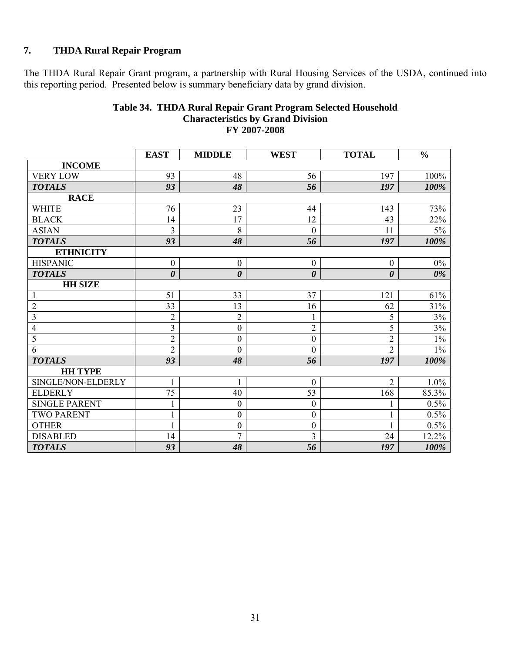# **7. THDA Rural Repair Program**

The THDA Rural Repair Grant program, a partnership with Rural Housing Services of the USDA, continued into this reporting period. Presented below is summary beneficiary data by grand division.

|                         | <b>EAST</b>           | <b>MIDDLE</b>         | <b>WEST</b>           | <b>TOTAL</b>          | $\frac{0}{0}$ |
|-------------------------|-----------------------|-----------------------|-----------------------|-----------------------|---------------|
| <b>INCOME</b>           |                       |                       |                       |                       |               |
| <b>VERY LOW</b>         | 93                    | 48                    | 56                    | 197                   | 100%          |
| <b>TOTALS</b>           | 93                    | 48                    | 56                    | 197                   | 100%          |
| <b>RACE</b>             |                       |                       |                       |                       |               |
| <b>WHITE</b>            | 76                    | 23                    | 44                    | 143                   | 73%           |
| <b>BLACK</b>            | 14                    | 17                    | 12                    | 43                    | 22%           |
| <b>ASIAN</b>            | $\overline{3}$        | 8                     | $\boldsymbol{0}$      | 11                    | $5\%$         |
| <b>TOTALS</b>           | 93                    | 48                    | 56                    | 197                   | 100%          |
| <b>ETHNICITY</b>        |                       |                       |                       |                       |               |
| <b>HISPANIC</b>         | $\boldsymbol{0}$      | $\boldsymbol{0}$      | $\boldsymbol{0}$      | $\boldsymbol{0}$      | $0\%$         |
| <b>TOTALS</b>           | $\boldsymbol{\theta}$ | $\boldsymbol{\theta}$ | $\boldsymbol{\theta}$ | $\boldsymbol{\theta}$ | 0%            |
| <b>HH SIZE</b>          |                       |                       |                       |                       |               |
| $\mathbf{1}$            | 51                    | 33                    | 37                    | 121                   | 61%           |
| $\overline{2}$          | 33                    | 13                    | 16                    | 62                    | 31%           |
| $\overline{\mathbf{3}}$ | $\overline{2}$        | $\overline{2}$        | $\mathbf{1}$          | 5                     | $3\%$         |
| $\overline{4}$          | $\overline{3}$        | $\boldsymbol{0}$      | $\overline{2}$        | 5                     | 3%            |
| $\overline{5}$          | $\overline{2}$        | $\boldsymbol{0}$      | $\boldsymbol{0}$      | $\overline{2}$        | $1\%$         |
| 6                       | $\overline{2}$        | $\mathbf{0}$          | $\boldsymbol{0}$      | $\overline{2}$        | $1\%$         |
| <b>TOTALS</b>           | 93                    | 48                    | 56                    | 197                   | 100%          |
| <b>HH TYPE</b>          |                       |                       |                       |                       |               |
| SINGLE/NON-ELDERLY      |                       | 1                     | $\boldsymbol{0}$      | $\overline{2}$        | 1.0%          |
| <b>ELDERLY</b>          | 75                    | 40                    | 53                    | 168                   | 85.3%         |
| <b>SINGLE PARENT</b>    |                       | $\boldsymbol{0}$      | $\boldsymbol{0}$      | 1                     | 0.5%          |
| <b>TWO PARENT</b>       |                       | $\boldsymbol{0}$      | $\boldsymbol{0}$      | 1                     | 0.5%          |
| <b>OTHER</b>            |                       | $\boldsymbol{0}$      | $\boldsymbol{0}$      | 1                     | 0.5%          |
| <b>DISABLED</b>         | 14                    | $\overline{7}$        | 3                     | 24                    | 12.2%         |
| <b>TOTALS</b>           | 93                    | 48                    | 56                    | 197                   | 100%          |

#### **Table 34. THDA Rural Repair Grant Program Selected Household Characteristics by Grand Division FY 2007-2008**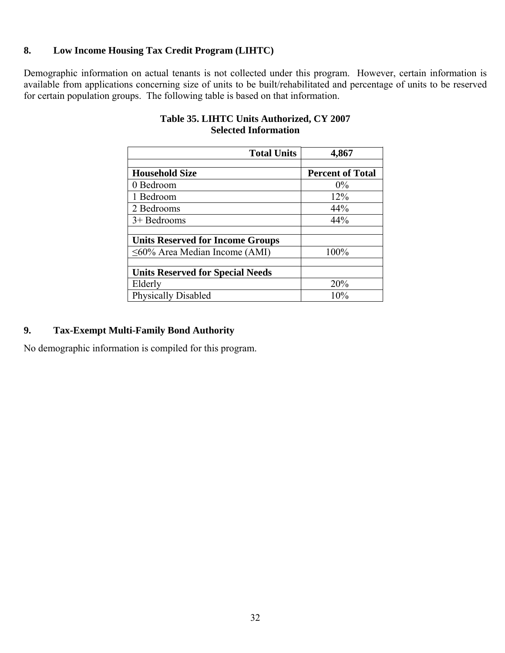# **8. Low Income Housing Tax Credit Program (LIHTC)**

Demographic information on actual tenants is not collected under this program. However, certain information is available from applications concerning size of units to be built/rehabilitated and percentage of units to be reserved for certain population groups. The following table is based on that information.

| <b>Total Units</b>                      | 4,867                   |
|-----------------------------------------|-------------------------|
|                                         |                         |
| <b>Household Size</b>                   | <b>Percent of Total</b> |
| 0 Bedroom                               | $0\%$                   |
| 1 Bedroom                               | 12%                     |
| 2 Bedrooms                              | 44%                     |
| $3+$ Bedrooms                           | 44%                     |
|                                         |                         |
| <b>Units Reserved for Income Groups</b> |                         |
| $\leq 60\%$ Area Median Income (AMI)    | 100%                    |
|                                         |                         |
| <b>Units Reserved for Special Needs</b> |                         |
| Elderly                                 | 20%                     |
| <b>Physically Disabled</b>              | 10%                     |

# **Table 35. LIHTC Units Authorized, CY 2007 Selected Information**

# **9. Tax-Exempt Multi-Family Bond Authority**

No demographic information is compiled for this program.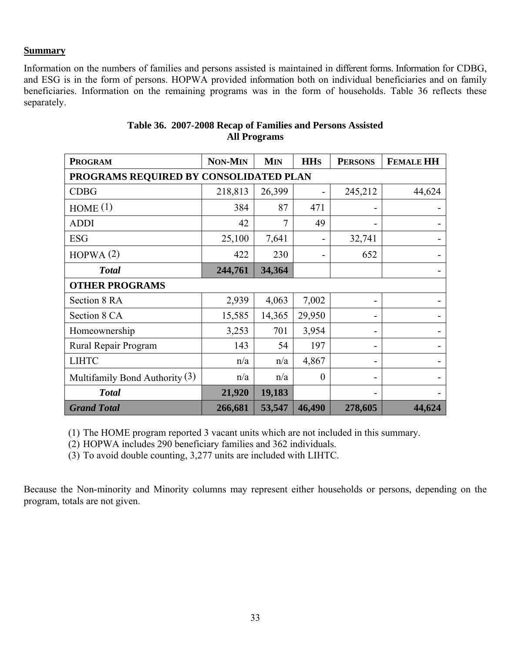#### **Summary**

Information on the numbers of families and persons assisted is maintained in different forms. Information for CDBG, and ESG is in the form of persons. HOPWA provided information both on individual beneficiaries and on family beneficiaries. Information on the remaining programs was in the form of households. Table 36 reflects these separately.

| <b>PROGRAM</b>                         | <b>NON-MIN</b> | <b>MIN</b> | <b>HH<sub>S</sub></b> | <b>PERSONS</b> | <b>FEMALE HH</b> |
|----------------------------------------|----------------|------------|-----------------------|----------------|------------------|
| PROGRAMS REQUIRED BY CONSOLIDATED PLAN |                |            |                       |                |                  |
| <b>CDBG</b>                            | 218,813        | 26,399     |                       | 245,212        | 44,624           |
| HOME(1)                                | 384            | 87         | 471                   |                |                  |
| <b>ADDI</b>                            | 42             | 7          | 49                    |                |                  |
| <b>ESG</b>                             | 25,100         | 7,641      |                       | 32,741         |                  |
| HOPWA(2)                               | 422            | 230        |                       | 652            |                  |
| <b>Total</b>                           | 244,761        | 34,364     |                       |                |                  |
| <b>OTHER PROGRAMS</b>                  |                |            |                       |                |                  |
| Section 8 RA                           | 2,939          | 4,063      | 7,002                 |                |                  |
| Section 8 CA                           | 15,585         | 14,365     | 29,950                |                |                  |
| Homeownership                          | 3,253          | 701        | 3,954                 |                |                  |
| Rural Repair Program                   | 143            | 54         | 197                   |                |                  |
| <b>LIHTC</b>                           | n/a            | n/a        | 4,867                 |                |                  |
| Multifamily Bond Authority $(3)$       | n/a            | n/a        | $\boldsymbol{0}$      |                |                  |
| <b>Total</b>                           | 21,920         | 19,183     |                       |                |                  |
| <b>Grand Total</b>                     | 266,681        | 53,547     | 46,490                | 278,605        | 44,624           |

# **Table 36. 2007-2008 Recap of Families and Persons Assisted All Programs**

(1) The HOME program reported 3 vacant units which are not included in this summary.

(2) HOPWA includes 290 beneficiary families and 362 individuals.

(3) To avoid double counting, 3,277 units are included with LIHTC.

Because the Non-minority and Minority columns may represent either households or persons, depending on the program, totals are not given.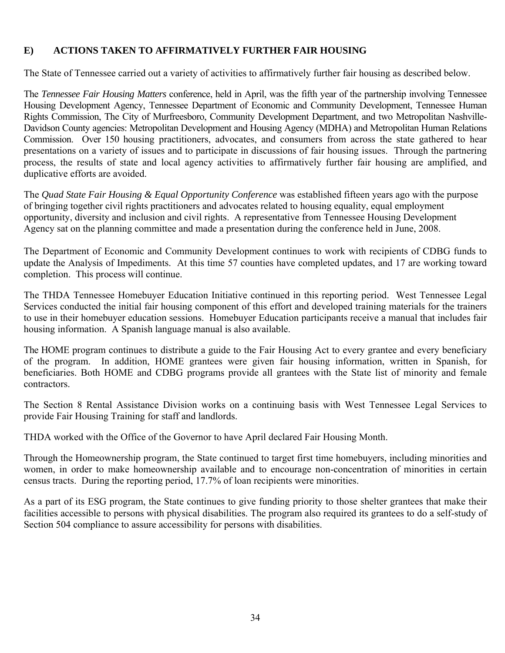# **E) ACTIONS TAKEN TO AFFIRMATIVELY FURTHER FAIR HOUSING**

The State of Tennessee carried out a variety of activities to affirmatively further fair housing as described below.

The *Tennessee Fair Housing Matters* conference, held in April, was the fifth year of the partnership involving Tennessee Housing Development Agency, Tennessee Department of Economic and Community Development, Tennessee Human Rights Commission, The City of Murfreesboro, Community Development Department, and two Metropolitan Nashville-Davidson County agencies: Metropolitan Development and Housing Agency (MDHA) and Metropolitan Human Relations Commission. Over 150 housing practitioners, advocates, and consumers from across the state gathered to hear presentations on a variety of issues and to participate in discussions of fair housing issues. Through the partnering process, the results of state and local agency activities to affirmatively further fair housing are amplified, and duplicative efforts are avoided.

The *Quad State Fair Housing & Equal Opportunity Conference* was established fifteen years ago with the purpose of bringing together civil rights practitioners and advocates related to housing equality, equal employment opportunity, diversity and inclusion and civil rights. A representative from Tennessee Housing Development Agency sat on the planning committee and made a presentation during the conference held in June, 2008.

The Department of Economic and Community Development continues to work with recipients of CDBG funds to update the Analysis of Impediments. At this time 57 counties have completed updates, and 17 are working toward completion. This process will continue.

The THDA Tennessee Homebuyer Education Initiative continued in this reporting period. West Tennessee Legal Services conducted the initial fair housing component of this effort and developed training materials for the trainers to use in their homebuyer education sessions. Homebuyer Education participants receive a manual that includes fair housing information. A Spanish language manual is also available.

The HOME program continues to distribute a guide to the Fair Housing Act to every grantee and every beneficiary of the program. In addition, HOME grantees were given fair housing information, written in Spanish, for beneficiaries. Both HOME and CDBG programs provide all grantees with the State list of minority and female contractors.

The Section 8 Rental Assistance Division works on a continuing basis with West Tennessee Legal Services to provide Fair Housing Training for staff and landlords.

THDA worked with the Office of the Governor to have April declared Fair Housing Month.

Through the Homeownership program, the State continued to target first time homebuyers, including minorities and women, in order to make homeownership available and to encourage non-concentration of minorities in certain census tracts. During the reporting period, 17.7% of loan recipients were minorities.

As a part of its ESG program, the State continues to give funding priority to those shelter grantees that make their facilities accessible to persons with physical disabilities. The program also required its grantees to do a self-study of Section 504 compliance to assure accessibility for persons with disabilities.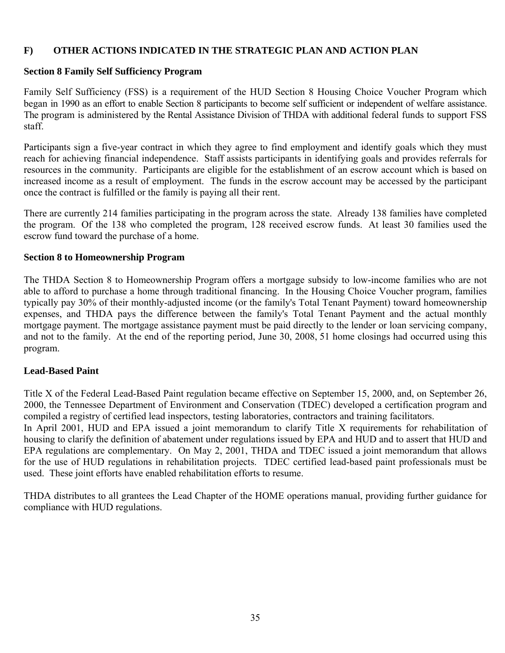#### **F) OTHER ACTIONS INDICATED IN THE STRATEGIC PLAN AND ACTION PLAN**

#### **Section 8 Family Self Sufficiency Program**

Family Self Sufficiency (FSS) is a requirement of the HUD Section 8 Housing Choice Voucher Program which began in 1990 as an effort to enable Section 8 participants to become self sufficient or independent of welfare assistance. The program is administered by the Rental Assistance Division of THDA with additional federal funds to support FSS staff.

Participants sign a five-year contract in which they agree to find employment and identify goals which they must reach for achieving financial independence. Staff assists participants in identifying goals and provides referrals for resources in the community. Participants are eligible for the establishment of an escrow account which is based on increased income as a result of employment. The funds in the escrow account may be accessed by the participant once the contract is fulfilled or the family is paying all their rent.

There are currently 214 families participating in the program across the state. Already 138 families have completed the program. Of the 138 who completed the program, 128 received escrow funds. At least 30 families used the escrow fund toward the purchase of a home.

#### **Section 8 to Homeownership Program**

The THDA Section 8 to Homeownership Program offers a mortgage subsidy to low-income families who are not able to afford to purchase a home through traditional financing. In the Housing Choice Voucher program, families typically pay 30% of their monthly-adjusted income (or the family's Total Tenant Payment) toward homeownership expenses, and THDA pays the difference between the family's Total Tenant Payment and the actual monthly mortgage payment. The mortgage assistance payment must be paid directly to the lender or loan servicing company, and not to the family. At the end of the reporting period, June 30, 2008, 51 home closings had occurred using this program.

#### **Lead-Based Paint**

Title X of the Federal Lead-Based Paint regulation became effective on September 15, 2000, and, on September 26, 2000, the Tennessee Department of Environment and Conservation (TDEC) developed a certification program and compiled a registry of certified lead inspectors, testing laboratories, contractors and training facilitators.

In April 2001, HUD and EPA issued a joint memorandum to clarify Title X requirements for rehabilitation of housing to clarify the definition of abatement under regulations issued by EPA and HUD and to assert that HUD and EPA regulations are complementary. On May 2, 2001, THDA and TDEC issued a joint memorandum that allows for the use of HUD regulations in rehabilitation projects. TDEC certified lead-based paint professionals must be used. These joint efforts have enabled rehabilitation efforts to resume.

THDA distributes to all grantees the Lead Chapter of the HOME operations manual, providing further guidance for compliance with HUD regulations.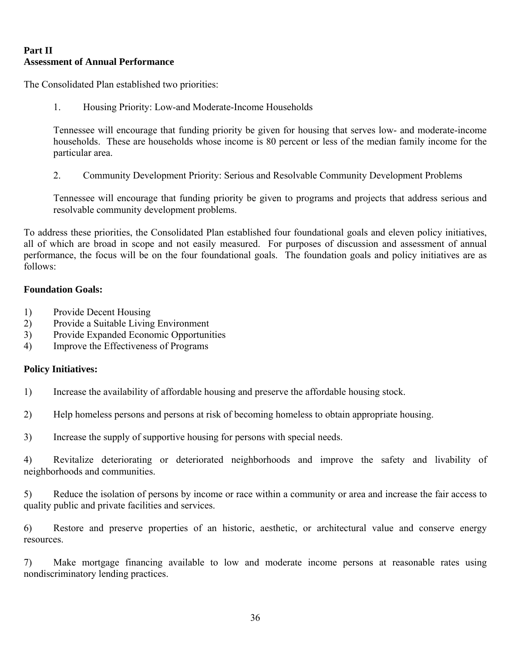# **Part II Assessment of Annual Performance**

The Consolidated Plan established two priorities:

1. Housing Priority: Low-and Moderate-Income Households

Tennessee will encourage that funding priority be given for housing that serves low- and moderate-income households. These are households whose income is 80 percent or less of the median family income for the particular area.

2. Community Development Priority: Serious and Resolvable Community Development Problems

Tennessee will encourage that funding priority be given to programs and projects that address serious and resolvable community development problems.

To address these priorities, the Consolidated Plan established four foundational goals and eleven policy initiatives, all of which are broad in scope and not easily measured. For purposes of discussion and assessment of annual performance, the focus will be on the four foundational goals. The foundation goals and policy initiatives are as follows:

## **Foundation Goals:**

- 1) Provide Decent Housing
- 2) Provide a Suitable Living Environment
- 3) Provide Expanded Economic Opportunities
- 4) Improve the Effectiveness of Programs

#### **Policy Initiatives:**

- 1) Increase the availability of affordable housing and preserve the affordable housing stock.
- 2) Help homeless persons and persons at risk of becoming homeless to obtain appropriate housing.
- 3) Increase the supply of supportive housing for persons with special needs.

4) Revitalize deteriorating or deteriorated neighborhoods and improve the safety and livability of neighborhoods and communities.

5) Reduce the isolation of persons by income or race within a community or area and increase the fair access to quality public and private facilities and services.

6) Restore and preserve properties of an historic, aesthetic, or architectural value and conserve energy resources.

7) Make mortgage financing available to low and moderate income persons at reasonable rates using nondiscriminatory lending practices.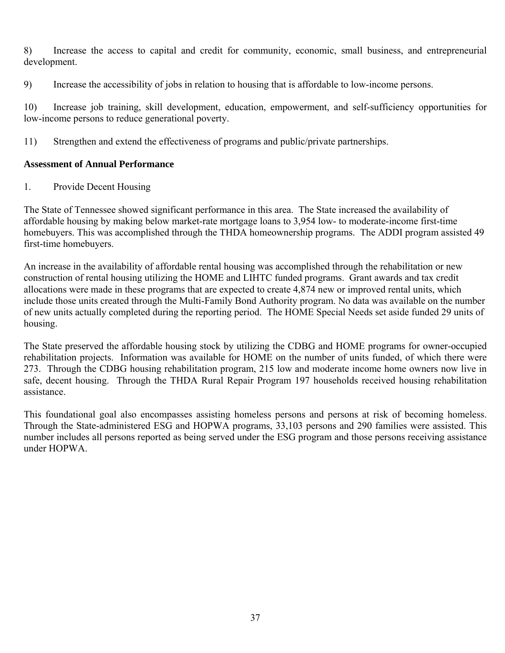8) Increase the access to capital and credit for community, economic, small business, and entrepreneurial development.

9) Increase the accessibility of jobs in relation to housing that is affordable to low-income persons.

10) Increase job training, skill development, education, empowerment, and self-sufficiency opportunities for low-income persons to reduce generational poverty.

11) Strengthen and extend the effectiveness of programs and public/private partnerships.

## **Assessment of Annual Performance**

1. Provide Decent Housing

The State of Tennessee showed significant performance in this area. The State increased the availability of affordable housing by making below market-rate mortgage loans to 3,954 low- to moderate-income first-time homebuyers. This was accomplished through the THDA homeownership programs. The ADDI program assisted 49 first-time homebuyers.

An increase in the availability of affordable rental housing was accomplished through the rehabilitation or new construction of rental housing utilizing the HOME and LIHTC funded programs. Grant awards and tax credit allocations were made in these programs that are expected to create 4,874 new or improved rental units, which include those units created through the Multi-Family Bond Authority program. No data was available on the number of new units actually completed during the reporting period. The HOME Special Needs set aside funded 29 units of housing.

The State preserved the affordable housing stock by utilizing the CDBG and HOME programs for owner-occupied rehabilitation projects. Information was available for HOME on the number of units funded, of which there were 273. Through the CDBG housing rehabilitation program, 215 low and moderate income home owners now live in safe, decent housing. Through the THDA Rural Repair Program 197 households received housing rehabilitation assistance.

This foundational goal also encompasses assisting homeless persons and persons at risk of becoming homeless. Through the State-administered ESG and HOPWA programs, 33,103 persons and 290 families were assisted. This number includes all persons reported as being served under the ESG program and those persons receiving assistance under HOPWA.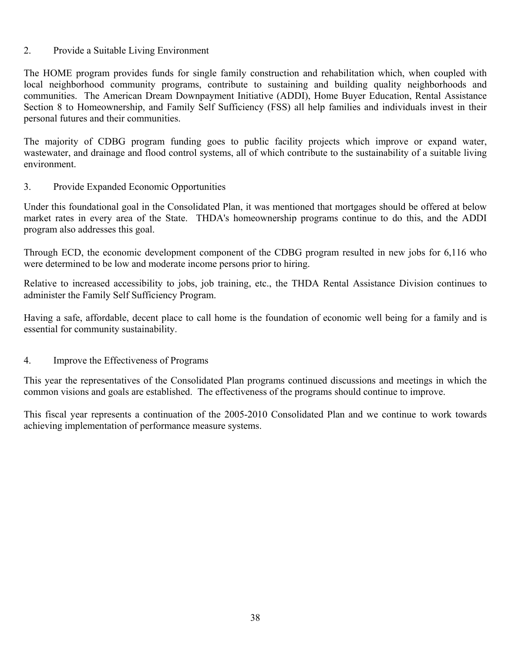#### 2. Provide a Suitable Living Environment

The HOME program provides funds for single family construction and rehabilitation which, when coupled with local neighborhood community programs, contribute to sustaining and building quality neighborhoods and communities. The American Dream Downpayment Initiative (ADDI), Home Buyer Education, Rental Assistance Section 8 to Homeownership, and Family Self Sufficiency (FSS) all help families and individuals invest in their personal futures and their communities.

The majority of CDBG program funding goes to public facility projects which improve or expand water, wastewater, and drainage and flood control systems, all of which contribute to the sustainability of a suitable living environment.

#### 3. Provide Expanded Economic Opportunities

Under this foundational goal in the Consolidated Plan, it was mentioned that mortgages should be offered at below market rates in every area of the State. THDA's homeownership programs continue to do this, and the ADDI program also addresses this goal.

Through ECD, the economic development component of the CDBG program resulted in new jobs for 6,116 who were determined to be low and moderate income persons prior to hiring.

Relative to increased accessibility to jobs, job training, etc., the THDA Rental Assistance Division continues to administer the Family Self Sufficiency Program.

Having a safe, affordable, decent place to call home is the foundation of economic well being for a family and is essential for community sustainability.

#### 4. Improve the Effectiveness of Programs

This year the representatives of the Consolidated Plan programs continued discussions and meetings in which the common visions and goals are established. The effectiveness of the programs should continue to improve.

This fiscal year represents a continuation of the 2005-2010 Consolidated Plan and we continue to work towards achieving implementation of performance measure systems.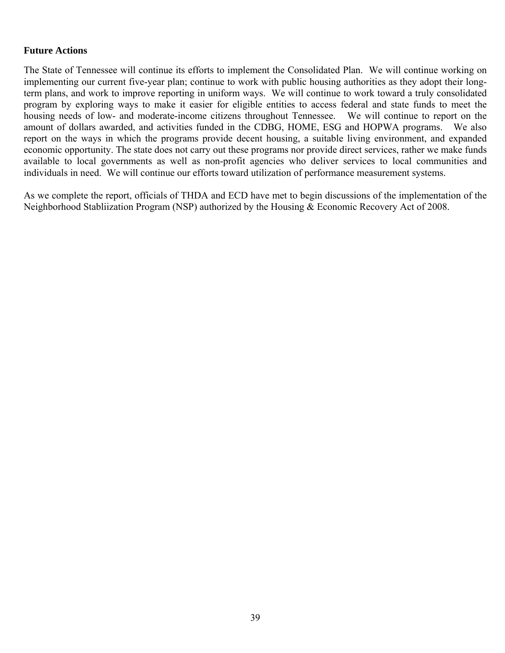#### **Future Actions**

The State of Tennessee will continue its efforts to implement the Consolidated Plan. We will continue working on implementing our current five-year plan; continue to work with public housing authorities as they adopt their longterm plans, and work to improve reporting in uniform ways. We will continue to work toward a truly consolidated program by exploring ways to make it easier for eligible entities to access federal and state funds to meet the housing needs of low- and moderate-income citizens throughout Tennessee. We will continue to report on the amount of dollars awarded, and activities funded in the CDBG, HOME, ESG and HOPWA programs. We also report on the ways in which the programs provide decent housing, a suitable living environment, and expanded economic opportunity. The state does not carry out these programs nor provide direct services, rather we make funds available to local governments as well as non-profit agencies who deliver services to local communities and individuals in need. We will continue our efforts toward utilization of performance measurement systems.

As we complete the report, officials of THDA and ECD have met to begin discussions of the implementation of the Neighborhood Stabliization Program (NSP) authorized by the Housing & Economic Recovery Act of 2008.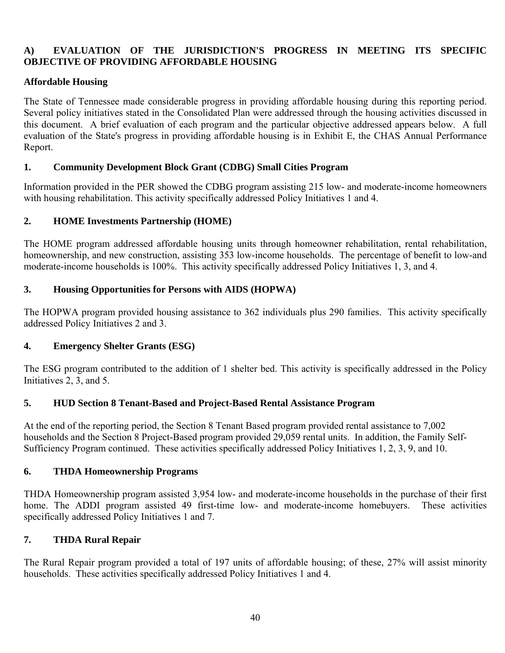# **A) EVALUATION OF THE JURISDICTION'S PROGRESS IN MEETING ITS SPECIFIC OBJECTIVE OF PROVIDING AFFORDABLE HOUSING**

## **Affordable Housing**

The State of Tennessee made considerable progress in providing affordable housing during this reporting period. Several policy initiatives stated in the Consolidated Plan were addressed through the housing activities discussed in this document. A brief evaluation of each program and the particular objective addressed appears below. A full evaluation of the State's progress in providing affordable housing is in Exhibit E, the CHAS Annual Performance Report.

## **1. Community Development Block Grant (CDBG) Small Cities Program**

Information provided in the PER showed the CDBG program assisting 215 low- and moderate-income homeowners with housing rehabilitation. This activity specifically addressed Policy Initiatives 1 and 4.

# **2. HOME Investments Partnership (HOME)**

The HOME program addressed affordable housing units through homeowner rehabilitation, rental rehabilitation, homeownership, and new construction, assisting 353 low-income households. The percentage of benefit to low-and moderate-income households is 100%. This activity specifically addressed Policy Initiatives 1, 3, and 4.

## **3. Housing Opportunities for Persons with AIDS (HOPWA)**

The HOPWA program provided housing assistance to 362 individuals plus 290 families. This activity specifically addressed Policy Initiatives 2 and 3.

## **4. Emergency Shelter Grants (ESG)**

The ESG program contributed to the addition of 1 shelter bed. This activity is specifically addressed in the Policy Initiatives 2, 3, and 5.

## **5. HUD Section 8 Tenant-Based and Project-Based Rental Assistance Program**

At the end of the reporting period, the Section 8 Tenant Based program provided rental assistance to 7,002 households and the Section 8 Project-Based program provided 29,059 rental units. In addition, the Family Self-Sufficiency Program continued. These activities specifically addressed Policy Initiatives 1, 2, 3, 9, and 10.

## **6. THDA Homeownership Programs**

THDA Homeownership program assisted 3,954 low- and moderate-income households in the purchase of their first home. The ADDI program assisted 49 first-time low- and moderate-income homebuyers. These activities specifically addressed Policy Initiatives 1 and 7.

# **7. THDA Rural Repair**

The Rural Repair program provided a total of 197 units of affordable housing; of these, 27% will assist minority households. These activities specifically addressed Policy Initiatives 1 and 4.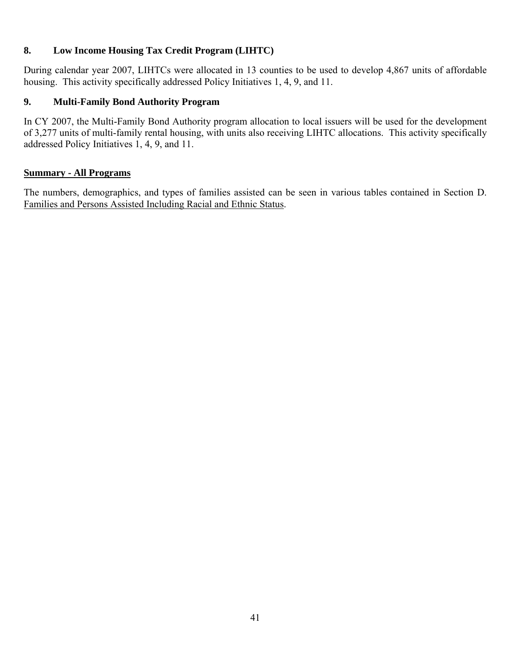# **8. Low Income Housing Tax Credit Program (LIHTC)**

During calendar year 2007, LIHTCs were allocated in 13 counties to be used to develop 4,867 units of affordable housing. This activity specifically addressed Policy Initiatives 1, 4, 9, and 11.

# **9. Multi-Family Bond Authority Program**

In CY 2007, the Multi-Family Bond Authority program allocation to local issuers will be used for the development of 3,277 units of multi-family rental housing, with units also receiving LIHTC allocations. This activity specifically addressed Policy Initiatives 1, 4, 9, and 11.

## **Summary - All Programs**

The numbers, demographics, and types of families assisted can be seen in various tables contained in Section D. Families and Persons Assisted Including Racial and Ethnic Status.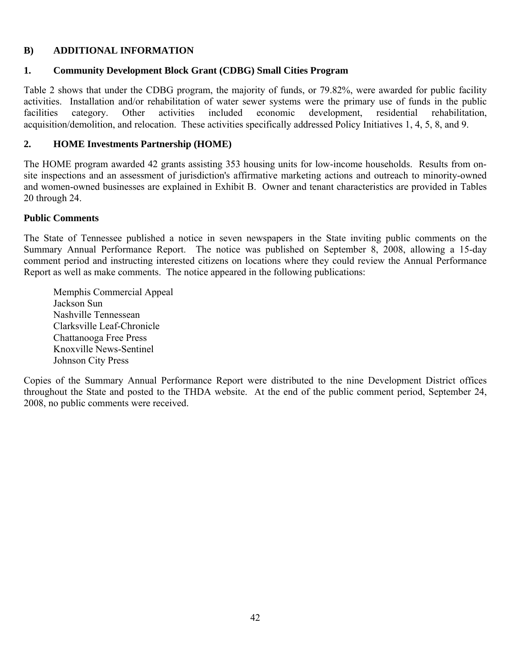# **B) ADDITIONAL INFORMATION**

## **1. Community Development Block Grant (CDBG) Small Cities Program**

Table 2 shows that under the CDBG program, the majority of funds, or 79.82%, were awarded for public facility activities. Installation and/or rehabilitation of water sewer systems were the primary use of funds in the public facilities category. Other activities included economic development, residential rehabilitation, acquisition/demolition, and relocation. These activities specifically addressed Policy Initiatives 1, 4, 5, 8, and 9.

# **2. HOME Investments Partnership (HOME)**

The HOME program awarded 42 grants assisting 353 housing units for low-income households. Results from onsite inspections and an assessment of jurisdiction's affirmative marketing actions and outreach to minority-owned and women-owned businesses are explained in Exhibit B. Owner and tenant characteristics are provided in Tables 20 through 24.

## **Public Comments**

The State of Tennessee published a notice in seven newspapers in the State inviting public comments on the Summary Annual Performance Report. The notice was published on September 8, 2008, allowing a 15-day comment period and instructing interested citizens on locations where they could review the Annual Performance Report as well as make comments. The notice appeared in the following publications:

Memphis Commercial Appeal Jackson Sun Nashville Tennessean Clarksville Leaf-Chronicle Chattanooga Free Press Knoxville News-Sentinel Johnson City Press

Copies of the Summary Annual Performance Report were distributed to the nine Development District offices throughout the State and posted to the THDA website. At the end of the public comment period, September 24, 2008, no public comments were received.